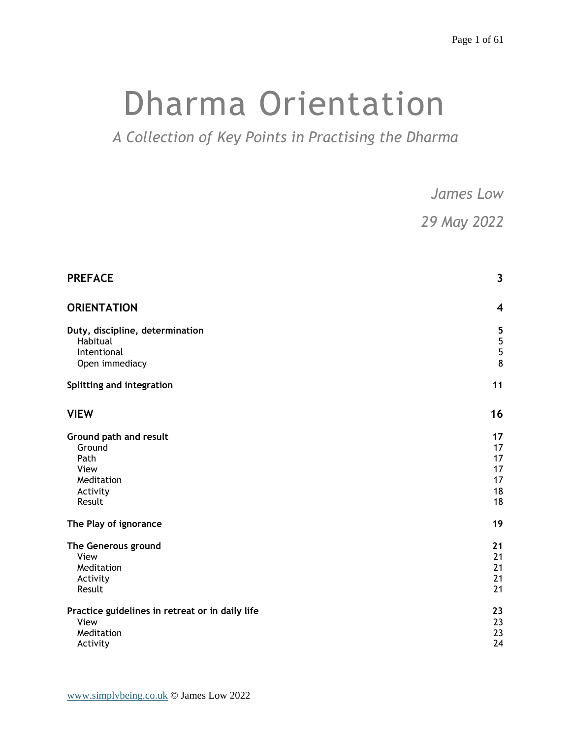# Dharma Orientation

*A Collection of Key Points in Practising the Dharma*

|                                                                                      | <b>James Low</b>                                                 |  |
|--------------------------------------------------------------------------------------|------------------------------------------------------------------|--|
|                                                                                      | 29 May 2022                                                      |  |
| <b>PREFACE</b>                                                                       | $\mathbf{3}$                                                     |  |
| <b>ORIENTATION</b>                                                                   | $\overline{\mathbf{4}}$                                          |  |
| Duty, discipline, determination<br>Habitual<br>Intentional<br>Open immediacy         | $\overline{\mathbf{5}}$<br>$\overline{5}$<br>$\overline{5}$<br>8 |  |
| Splitting and integration                                                            | 11                                                               |  |
| <b>VIEW</b>                                                                          | 16                                                               |  |
| Ground path and result<br>Ground<br>Path<br>View<br>Meditation<br>Activity<br>Result | 17<br>17<br>17<br>17<br>17<br>18<br>18                           |  |
| The Play of ignorance                                                                | 19                                                               |  |
| The Generous ground<br>View<br>Meditation<br>Activity<br>Result                      | 21<br>21<br>21<br>21<br>21                                       |  |
| Practice guidelines in retreat or in daily life<br>View<br>Meditation<br>Activity    | 23<br>23<br>23<br>24                                             |  |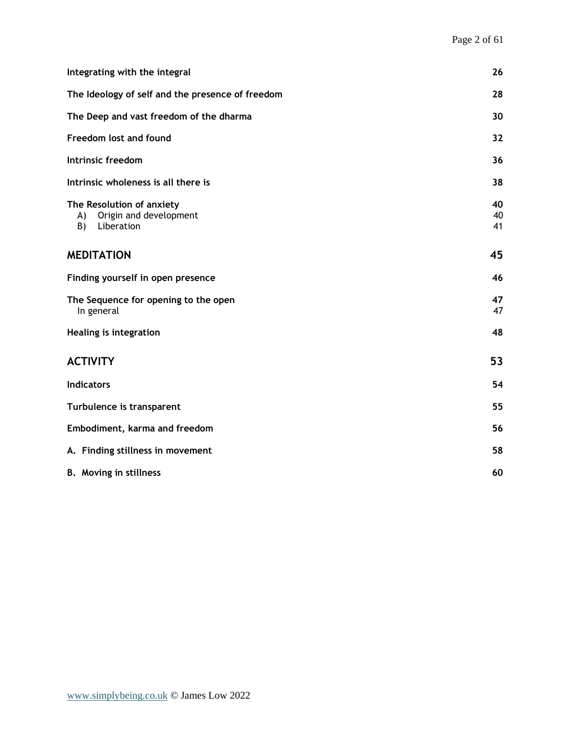| Integrating with the integral                                                 | 26             |
|-------------------------------------------------------------------------------|----------------|
| The Ideology of self and the presence of freedom                              | 28             |
| The Deep and vast freedom of the dharma                                       | 30             |
| Freedom lost and found                                                        | 32             |
| Intrinsic freedom                                                             | 36             |
| Intrinsic wholeness is all there is                                           | 38             |
| The Resolution of anxiety<br>Origin and development<br>A)<br>Liberation<br>B) | 40<br>40<br>41 |
| <b>MEDITATION</b>                                                             | 45             |
| Finding yourself in open presence                                             | 46             |
| The Sequence for opening to the open<br>In general                            | 47<br>47       |
| Healing is integration                                                        | 48             |
| <b>ACTIVITY</b>                                                               | 53             |
| <b>Indicators</b>                                                             | 54             |
| Turbulence is transparent                                                     | 55             |
| Embodiment, karma and freedom                                                 | 56             |
| A. Finding stillness in movement                                              | 58             |
| <b>B.</b> Moving in stillness                                                 | 60             |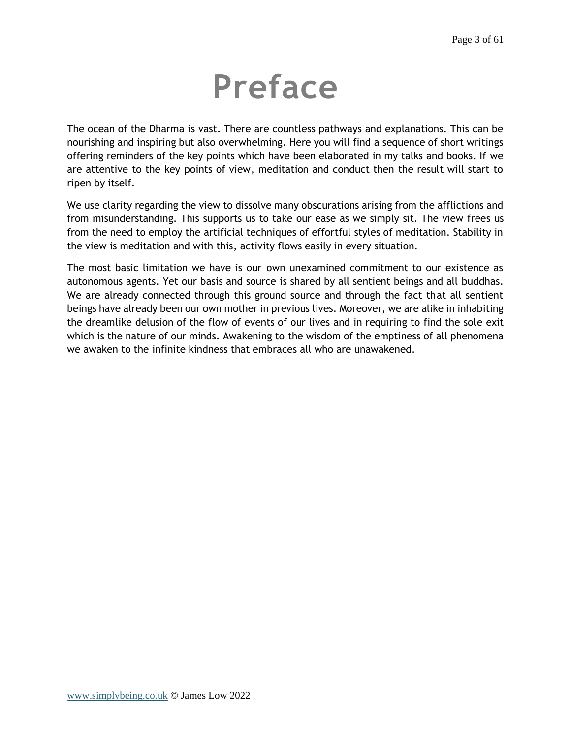# **Preface**

<span id="page-2-0"></span>The ocean of the Dharma is vast. There are countless pathways and explanations. This can be nourishing and inspiring but also overwhelming. Here you will find a sequence of short writings offering reminders of the key points which have been elaborated in my talks and books. If we are attentive to the key points of view, meditation and conduct then the result will start to ripen by itself.

We use clarity regarding the view to dissolve many obscurations arising from the afflictions and from misunderstanding. This supports us to take our ease as we simply sit. The view frees us from the need to employ the artificial techniques of effortful styles of meditation. Stability in the view is meditation and with this, activity flows easily in every situation.

The most basic limitation we have is our own unexamined commitment to our existence as autonomous agents. Yet our basis and source is shared by all sentient beings and all buddhas. We are already connected through this ground source and through the fact that all sentient beings have already been our own mother in previous lives. Moreover, we are alike in inhabiting the dreamlike delusion of the flow of events of our lives and in requiring to find the sole exit which is the nature of our minds. Awakening to the wisdom of the emptiness of all phenomena we awaken to the infinite kindness that embraces all who are unawakened.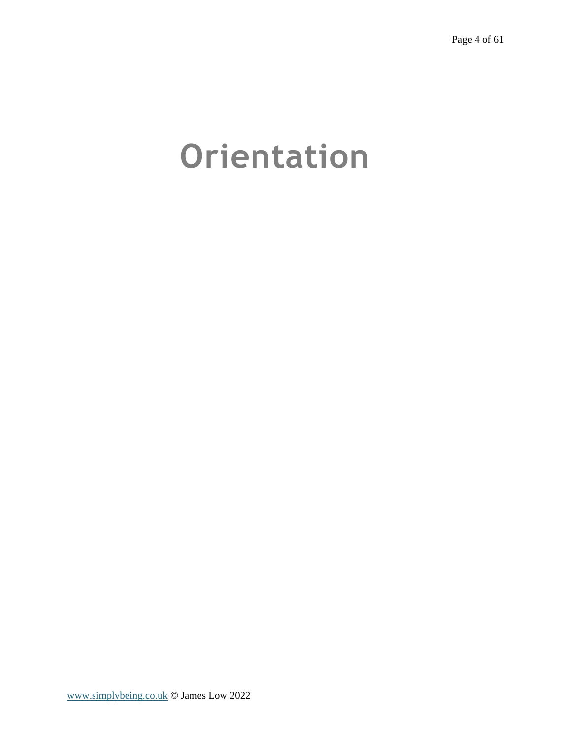# <span id="page-3-0"></span>**Orientation**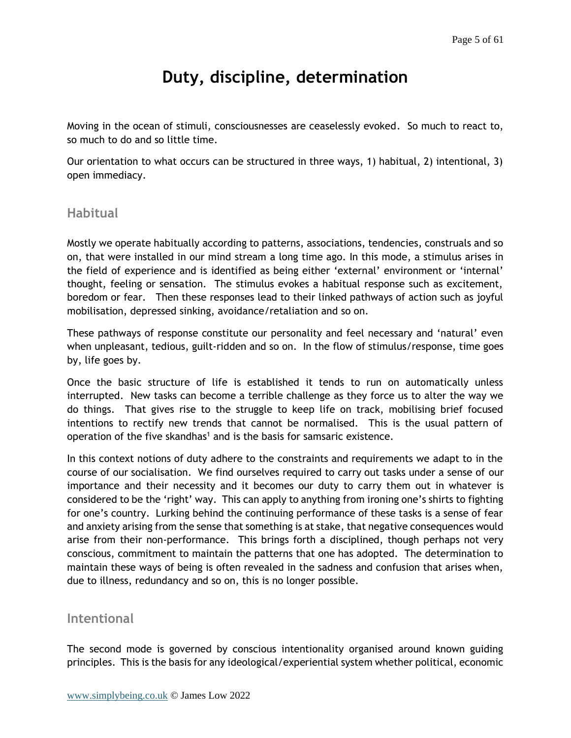# **Duty, discipline, determination**

<span id="page-4-0"></span>Moving in the ocean of stimuli, consciousnesses are ceaselessly evoked. So much to react to, so much to do and so little time.

Our orientation to what occurs can be structured in three ways, 1) habitual, 2) intentional, 3) open immediacy.

## <span id="page-4-1"></span>**Habitual**

Mostly we operate habitually according to patterns, associations, tendencies, construals and so on, that were installed in our mind stream a long time ago. In this mode, a stimulus arises in the field of experience and is identified as being either 'external' environment or 'internal' thought, feeling or sensation. The stimulus evokes a habitual response such as excitement, boredom or fear. Then these responses lead to their linked pathways of action such as joyful mobilisation, depressed sinking, avoidance/retaliation and so on.

These pathways of response constitute our personality and feel necessary and 'natural' even when unpleasant, tedious, guilt-ridden and so on. In the flow of stimulus/response, time goes by, life goes by.

Once the basic structure of life is established it tends to run on automatically unless interrupted. New tasks can become a terrible challenge as they force us to alter the way we do things. That gives rise to the struggle to keep life on track, mobilising brief focused intentions to rectify new trends that cannot be normalised. This is the usual pattern of operation of the five skandhas<sup>1</sup> and is the basis for samsaric existence.

In this context notions of duty adhere to the constraints and requirements we adapt to in the course of our socialisation. We find ourselves required to carry out tasks under a sense of our importance and their necessity and it becomes our duty to carry them out in whatever is considered to be the 'right' way. This can apply to anything from ironing one's shirts to fighting for one's country. Lurking behind the continuing performance of these tasks is a sense of fear and anxiety arising from the sense that something is at stake, that negative consequences would arise from their non-performance. This brings forth a disciplined, though perhaps not very conscious, commitment to maintain the patterns that one has adopted. The determination to maintain these ways of being is often revealed in the sadness and confusion that arises when, due to illness, redundancy and so on, this is no longer possible.

## <span id="page-4-2"></span>**Intentional**

The second mode is governed by conscious intentionality organised around known guiding principles. This is the basis for any ideological/experiential system whether political, economic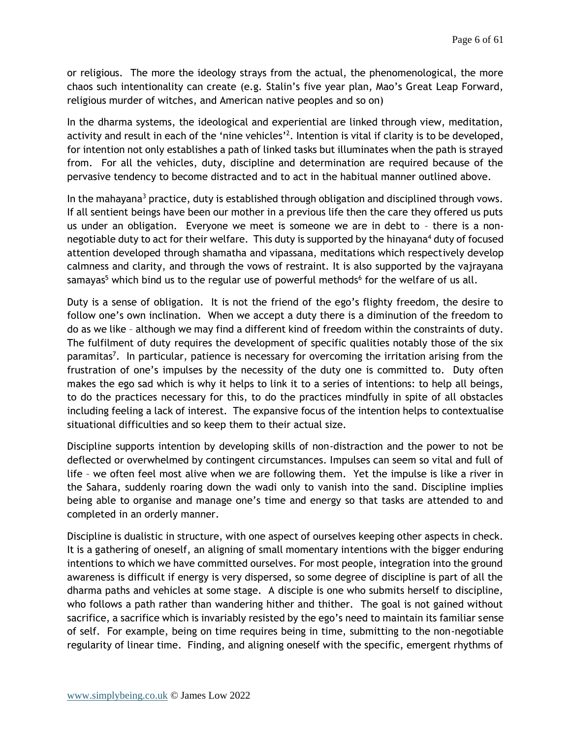or religious. The more the ideology strays from the actual, the phenomenological, the more chaos such intentionality can create (e.g. Stalin's five year plan, Mao's Great Leap Forward, religious murder of witches, and American native peoples and so on)

In the dharma systems, the ideological and experiential are linked through view, meditation, activity and result in each of the 'nine vehicles'<sup>2</sup>. Intention is vital if clarity is to be developed, for intention not only establishes a path of linked tasks but illuminates when the path is strayed from. For all the vehicles, duty, discipline and determination are required because of the pervasive tendency to become distracted and to act in the habitual manner outlined above.

In the mahayana<sup>3</sup> practice, duty is established through obligation and disciplined through vows. If all sentient beings have been our mother in a previous life then the care they offered us puts us under an obligation. Everyone we meet is someone we are in debt to – there is a nonnegotiable duty to act for their welfare. This duty is supported by the hinayana<sup>4</sup> duty of focused attention developed through shamatha and vipassana, meditations which respectively develop calmness and clarity, and through the vows of restraint. It is also supported by the vajrayana samayas<sup>5</sup> which bind us to the regular use of powerful methods<sup>6</sup> for the welfare of us all.

Duty is a sense of obligation. It is not the friend of the ego's flighty freedom, the desire to follow one's own inclination. When we accept a duty there is a diminution of the freedom to do as we like – although we may find a different kind of freedom within the constraints of duty. The fulfilment of duty requires the development of specific qualities notably those of the six paramitas<sup>7</sup>. In particular, patience is necessary for overcoming the irritation arising from the frustration of one's impulses by the necessity of the duty one is committed to. Duty often makes the ego sad which is why it helps to link it to a series of intentions: to help all beings, to do the practices necessary for this, to do the practices mindfully in spite of all obstacles including feeling a lack of interest. The expansive focus of the intention helps to contextualise situational difficulties and so keep them to their actual size.

Discipline supports intention by developing skills of non-distraction and the power to not be deflected or overwhelmed by contingent circumstances. Impulses can seem so vital and full of life – we often feel most alive when we are following them. Yet the impulse is like a river in the Sahara, suddenly roaring down the wadi only to vanish into the sand. Discipline implies being able to organise and manage one's time and energy so that tasks are attended to and completed in an orderly manner.

Discipline is dualistic in structure, with one aspect of ourselves keeping other aspects in check. It is a gathering of oneself, an aligning of small momentary intentions with the bigger enduring intentions to which we have committed ourselves. For most people, integration into the ground awareness is difficult if energy is very dispersed, so some degree of discipline is part of all the dharma paths and vehicles at some stage. A disciple is one who submits herself to discipline, who follows a path rather than wandering hither and thither. The goal is not gained without sacrifice, a sacrifice which is invariably resisted by the ego's need to maintain its familiar sense of self. For example, being on time requires being in time, submitting to the non-negotiable regularity of linear time. Finding, and aligning oneself with the specific, emergent rhythms of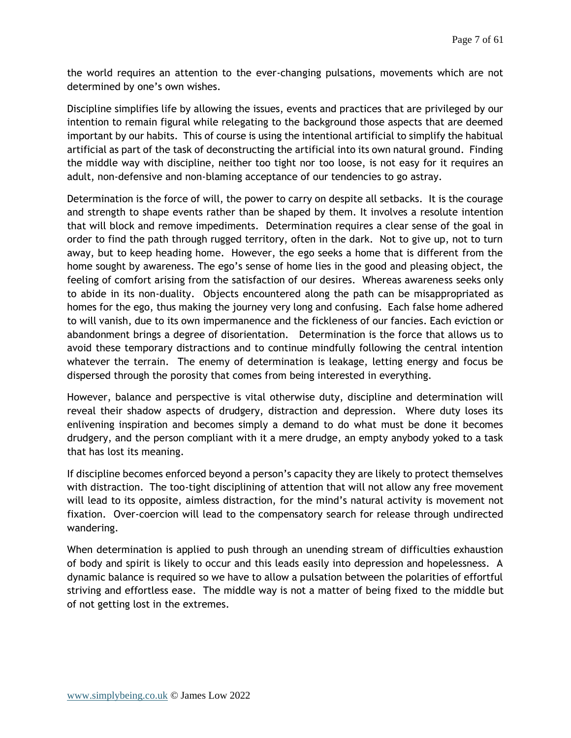the world requires an attention to the ever-changing pulsations, movements which are not determined by one's own wishes.

Discipline simplifies life by allowing the issues, events and practices that are privileged by our intention to remain figural while relegating to the background those aspects that are deemed important by our habits. This of course is using the intentional artificial to simplify the habitual artificial as part of the task of deconstructing the artificial into its own natural ground. Finding the middle way with discipline, neither too tight nor too loose, is not easy for it requires an adult, non-defensive and non-blaming acceptance of our tendencies to go astray.

Determination is the force of will, the power to carry on despite all setbacks. It is the courage and strength to shape events rather than be shaped by them. It involves a resolute intention that will block and remove impediments. Determination requires a clear sense of the goal in order to find the path through rugged territory, often in the dark. Not to give up, not to turn away, but to keep heading home. However, the ego seeks a home that is different from the home sought by awareness. The ego's sense of home lies in the good and pleasing object, the feeling of comfort arising from the satisfaction of our desires. Whereas awareness seeks only to abide in its non-duality. Objects encountered along the path can be misappropriated as homes for the ego, thus making the journey very long and confusing. Each false home adhered to will vanish, due to its own impermanence and the fickleness of our fancies. Each eviction or abandonment brings a degree of disorientation. Determination is the force that allows us to avoid these temporary distractions and to continue mindfully following the central intention whatever the terrain. The enemy of determination is leakage, letting energy and focus be dispersed through the porosity that comes from being interested in everything.

However, balance and perspective is vital otherwise duty, discipline and determination will reveal their shadow aspects of drudgery, distraction and depression. Where duty loses its enlivening inspiration and becomes simply a demand to do what must be done it becomes drudgery, and the person compliant with it a mere drudge, an empty anybody yoked to a task that has lost its meaning.

If discipline becomes enforced beyond a person's capacity they are likely to protect themselves with distraction. The too-tight disciplining of attention that will not allow any free movement will lead to its opposite, aimless distraction, for the mind's natural activity is movement not fixation. Over-coercion will lead to the compensatory search for release through undirected wandering.

When determination is applied to push through an unending stream of difficulties exhaustion of body and spirit is likely to occur and this leads easily into depression and hopelessness. A dynamic balance is required so we have to allow a pulsation between the polarities of effortful striving and effortless ease. The middle way is not a matter of being fixed to the middle but of not getting lost in the extremes.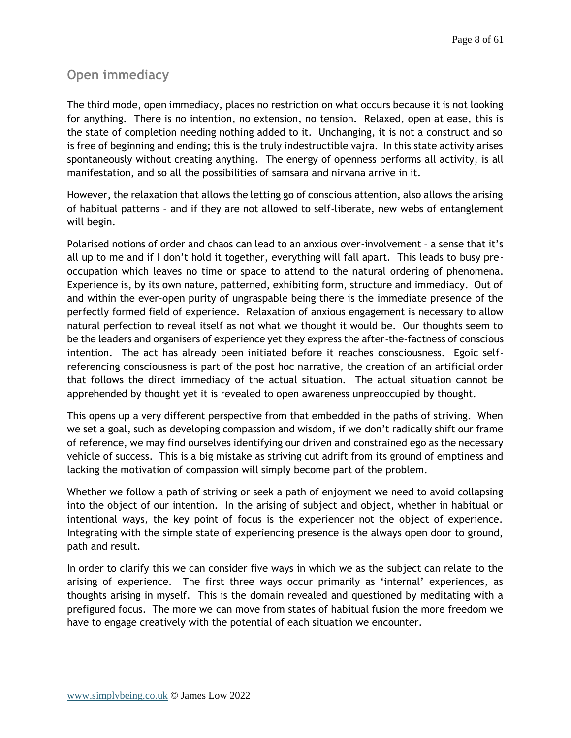## <span id="page-7-0"></span>**Open immediacy**

The third mode, open immediacy, places no restriction on what occurs because it is not looking for anything. There is no intention, no extension, no tension. Relaxed, open at ease, this is the state of completion needing nothing added to it. Unchanging, it is not a construct and so is free of beginning and ending; this is the truly indestructible vajra. In this state activity arises spontaneously without creating anything. The energy of openness performs all activity, is all manifestation, and so all the possibilities of samsara and nirvana arrive in it.

However, the relaxation that allows the letting go of conscious attention, also allows the arising of habitual patterns – and if they are not allowed to self-liberate, new webs of entanglement will begin.

Polarised notions of order and chaos can lead to an anxious over-involvement – a sense that it's all up to me and if I don't hold it together, everything will fall apart. This leads to busy preoccupation which leaves no time or space to attend to the natural ordering of phenomena. Experience is, by its own nature, patterned, exhibiting form, structure and immediacy. Out of and within the ever-open purity of ungraspable being there is the immediate presence of the perfectly formed field of experience. Relaxation of anxious engagement is necessary to allow natural perfection to reveal itself as not what we thought it would be. Our thoughts seem to be the leaders and organisers of experience yet they express the after-the-factness of conscious intention. The act has already been initiated before it reaches consciousness. Egoic selfreferencing consciousness is part of the post hoc narrative, the creation of an artificial order that follows the direct immediacy of the actual situation. The actual situation cannot be apprehended by thought yet it is revealed to open awareness unpreoccupied by thought.

This opens up a very different perspective from that embedded in the paths of striving. When we set a goal, such as developing compassion and wisdom, if we don't radically shift our frame of reference, we may find ourselves identifying our driven and constrained ego as the necessary vehicle of success. This is a big mistake as striving cut adrift from its ground of emptiness and lacking the motivation of compassion will simply become part of the problem.

Whether we follow a path of striving or seek a path of enjoyment we need to avoid collapsing into the object of our intention. In the arising of subject and object, whether in habitual or intentional ways, the key point of focus is the experiencer not the object of experience. Integrating with the simple state of experiencing presence is the always open door to ground, path and result.

In order to clarify this we can consider five ways in which we as the subject can relate to the arising of experience. The first three ways occur primarily as 'internal' experiences, as thoughts arising in myself. This is the domain revealed and questioned by meditating with a prefigured focus. The more we can move from states of habitual fusion the more freedom we have to engage creatively with the potential of each situation we encounter.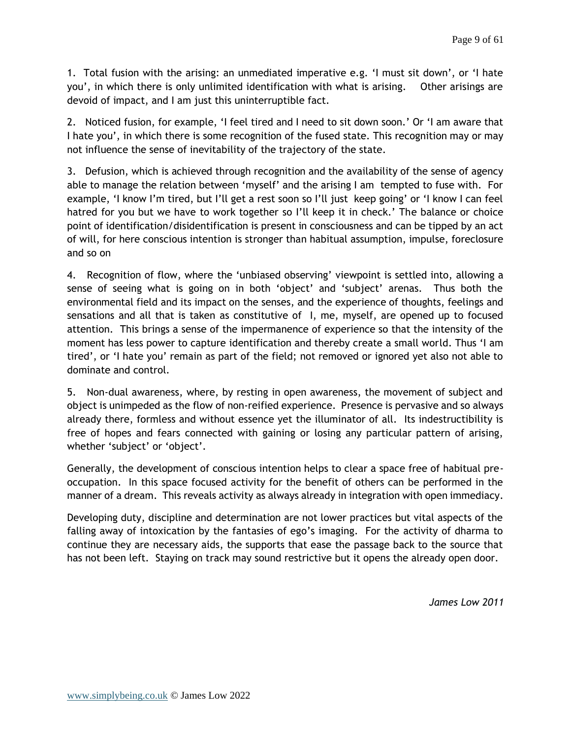1. Total fusion with the arising: an unmediated imperative e.g. 'I must sit down', or 'I hate you', in which there is only unlimited identification with what is arising. Other arisings are devoid of impact, and I am just this uninterruptible fact.

2. Noticed fusion, for example, 'I feel tired and I need to sit down soon.' Or 'I am aware that I hate you', in which there is some recognition of the fused state. This recognition may or may not influence the sense of inevitability of the trajectory of the state.

3. Defusion, which is achieved through recognition and the availability of the sense of agency able to manage the relation between 'myself' and the arising I am tempted to fuse with. For example, 'I know I'm tired, but I'll get a rest soon so I'll just keep going' or 'I know I can feel hatred for you but we have to work together so I'll keep it in check.' The balance or choice point of identification/disidentification is present in consciousness and can be tipped by an act of will, for here conscious intention is stronger than habitual assumption, impulse, foreclosure and so on

4. Recognition of flow, where the 'unbiased observing' viewpoint is settled into, allowing a sense of seeing what is going on in both 'object' and 'subject' arenas. Thus both the environmental field and its impact on the senses, and the experience of thoughts, feelings and sensations and all that is taken as constitutive of I, me, myself, are opened up to focused attention. This brings a sense of the impermanence of experience so that the intensity of the moment has less power to capture identification and thereby create a small world. Thus 'I am tired', or 'I hate you' remain as part of the field; not removed or ignored yet also not able to dominate and control.

5. Non-dual awareness, where, by resting in open awareness, the movement of subject and object is unimpeded as the flow of non-reified experience. Presence is pervasive and so always already there, formless and without essence yet the illuminator of all. Its indestructibility is free of hopes and fears connected with gaining or losing any particular pattern of arising, whether 'subject' or 'object'.

Generally, the development of conscious intention helps to clear a space free of habitual preoccupation. In this space focused activity for the benefit of others can be performed in the manner of a dream. This reveals activity as always already in integration with open immediacy.

Developing duty, discipline and determination are not lower practices but vital aspects of the falling away of intoxication by the fantasies of ego's imaging. For the activity of dharma to continue they are necessary aids, the supports that ease the passage back to the source that has not been left. Staying on track may sound restrictive but it opens the already open door.

*James Low 2011*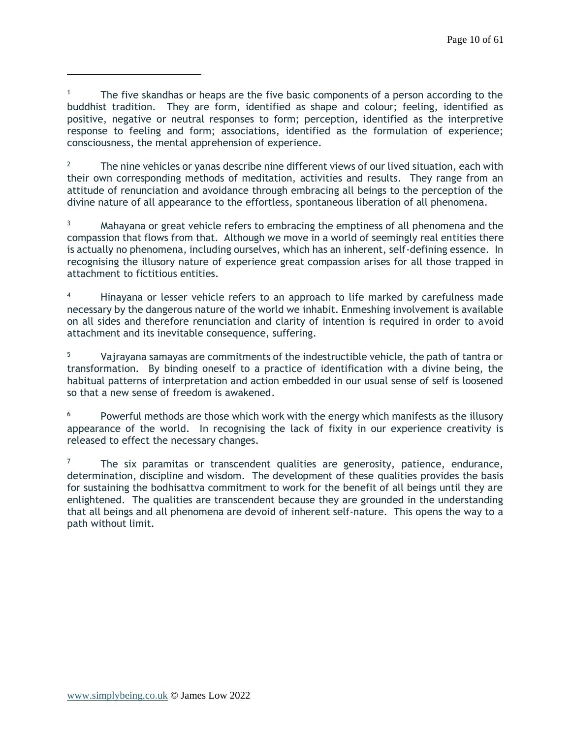The five skandhas or heaps are the five basic components of a person according to the buddhist tradition. They are form, identified as shape and colour; feeling, identified as positive, negative or neutral responses to form; perception, identified as the interpretive response to feeling and form; associations, identified as the formulation of experience; consciousness, the mental apprehension of experience.

<sup>2</sup> The nine vehicles or yanas describe nine different views of our lived situation, each with their own corresponding methods of meditation, activities and results. They range from an attitude of renunciation and avoidance through embracing all beings to the perception of the divine nature of all appearance to the effortless, spontaneous liberation of all phenomena.

<sup>3</sup> Mahayana or great vehicle refers to embracing the emptiness of all phenomena and the compassion that flows from that. Although we move in a world of seemingly real entities there is actually no phenomena, including ourselves, which has an inherent, self-defining essence. In recognising the illusory nature of experience great compassion arises for all those trapped in attachment to fictitious entities.

Hinayana or lesser vehicle refers to an approach to life marked by carefulness made necessary by the dangerous nature of the world we inhabit. Enmeshing involvement is available on all sides and therefore renunciation and clarity of intention is required in order to avoid attachment and its inevitable consequence, suffering.

Vajrayana samayas are commitments of the indestructible vehicle, the path of tantra or transformation. By binding oneself to a practice of identification with a divine being, the habitual patterns of interpretation and action embedded in our usual sense of self is loosened so that a new sense of freedom is awakened.

 $6$  Powerful methods are those which work with the energy which manifests as the illusory appearance of the world. In recognising the lack of fixity in our experience creativity is released to effect the necessary changes.

 $7$  The six paramitas or transcendent qualities are generosity, patience, endurance, determination, discipline and wisdom. The development of these qualities provides the basis for sustaining the bodhisattva commitment to work for the benefit of all beings until they are enlightened. The qualities are transcendent because they are grounded in the understanding that all beings and all phenomena are devoid of inherent self-nature. This opens the way to a path without limit.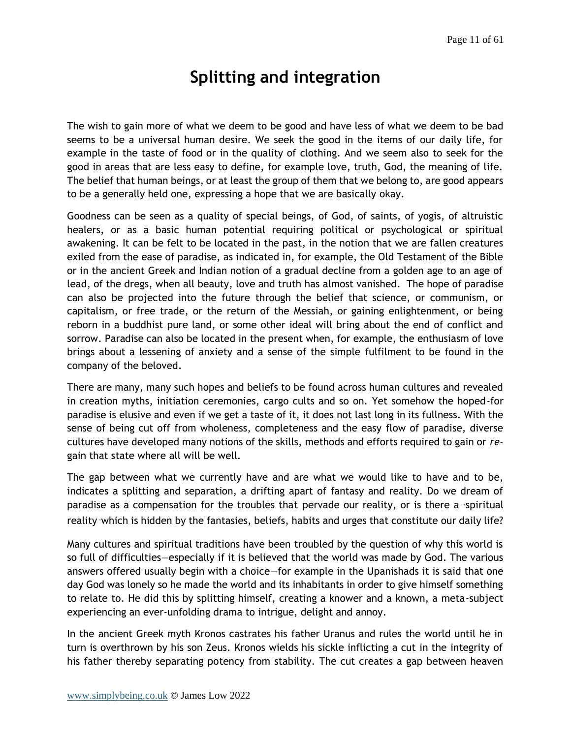## **Splitting and integration**

<span id="page-10-0"></span>The wish to gain more of what we deem to be good and have less of what we deem to be bad seems to be a universal human desire. We seek the good in the items of our daily life, for example in the taste of food or in the quality of clothing. And we seem also to seek for the good in areas that are less easy to define, for example love, truth, God, the meaning of life. The belief that human beings, or at least the group of them that we belong to, are good appears to be a generally held one, expressing a hope that we are basically okay.

Goodness can be seen as a quality of special beings, of God, of saints, of yogis, of altruistic healers, or as a basic human potential requiring political or psychological or spiritual awakening. It can be felt to be located in the past, in the notion that we are fallen creatures exiled from the ease of paradise, as indicated in, for example, the Old Testament of the Bible or in the ancient Greek and Indian notion of a gradual decline from a golden age to an age of lead, of the dregs, when all beauty, love and truth has almost vanished. The hope of paradise can also be projected into the future through the belief that science, or communism, or capitalism, or free trade, or the return of the Messiah, or gaining enlightenment, or being reborn in a buddhist pure land, or some other ideal will bring about the end of conflict and sorrow. Paradise can also be located in the present when, for example, the enthusiasm of love brings about a lessening of anxiety and a sense of the simple fulfilment to be found in the company of the beloved.

There are many, many such hopes and beliefs to be found across human cultures and revealed in creation myths, initiation ceremonies, cargo cults and so on. Yet somehow the hoped-for paradise is elusive and even if we get a taste of it, it does not last long in its fullness. With the sense of being cut off from wholeness, completeness and the easy flow of paradise, diverse cultures have developed many notions of the skills, methods and efforts required to gain or *re*gain that state where all will be well.

The gap between what we currently have and are what we would like to have and to be, indicates a splitting and separation, a drifting apart of fantasy and reality. Do we dream of paradise as a compensation for the troubles that pervade our reality, or is there a 'spiritual reality 'which is hidden by the fantasies, beliefs, habits and urges that constitute our daily life?

Many cultures and spiritual traditions have been troubled by the question of why this world is so full of difficulties—especially if it is believed that the world was made by God. The various answers offered usually begin with a choice—for example in the Upanishads it is said that one day God was lonely so he made the world and its inhabitants in order to give himself something to relate to. He did this by splitting himself, creating a knower and a known, a meta-subject experiencing an ever-unfolding drama to intrigue, delight and annoy.

In the ancient Greek myth Kronos castrates his father Uranus and rules the world until he in turn is overthrown by his son Zeus. Kronos wields his sickle inflicting a cut in the integrity of his father thereby separating potency from stability. The cut creates a gap between heaven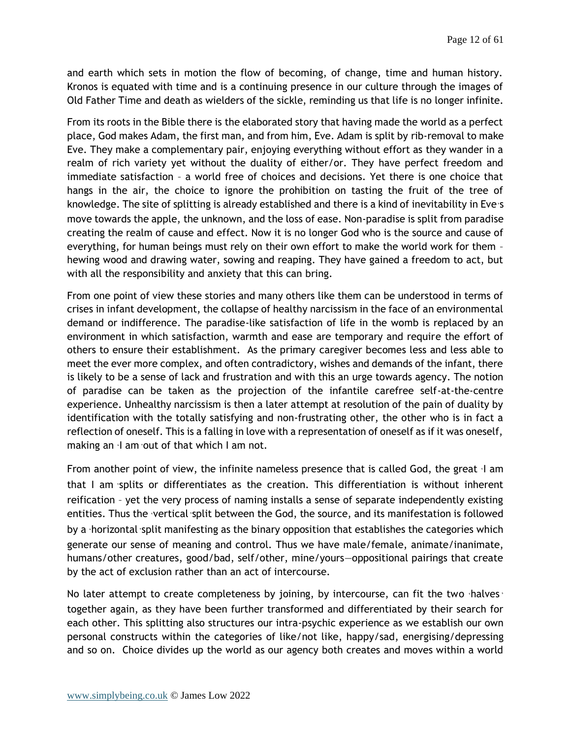and earth which sets in motion the flow of becoming, of change, time and human history. Kronos is equated with time and is a continuing presence in our culture through the images of Old Father Time and death as wielders of the sickle, reminding us that life is no longer infinite.

From its roots in the Bible there is the elaborated story that having made the world as a perfect place, God makes Adam, the first man, and from him, Eve. Adam is split by rib-removal to make Eve. They make a complementary pair, enjoying everything without effort as they wander in a realm of rich variety yet without the duality of either/or. They have perfect freedom and immediate satisfaction – a world free of choices and decisions. Yet there is one choice that hangs in the air, the choice to ignore the prohibition on tasting the fruit of the tree of knowledge. The site of splitting is already established and there is a kind of inevitability in Eve's move towards the apple, the unknown, and the loss of ease. Non-paradise is split from paradise creating the realm of cause and effect. Now it is no longer God who is the source and cause of everything, for human beings must rely on their own effort to make the world work for them – hewing wood and drawing water, sowing and reaping. They have gained a freedom to act, but with all the responsibility and anxiety that this can bring.

From one point of view these stories and many others like them can be understood in terms of crises in infant development, the collapse of healthy narcissism in the face of an environmental demand or indifference. The paradise-like satisfaction of life in the womb is replaced by an environment in which satisfaction, warmth and ease are temporary and require the effort of others to ensure their establishment. As the primary caregiver becomes less and less able to meet the ever more complex, and often contradictory, wishes and demands of the infant, there is likely to be a sense of lack and frustration and with this an urge towards agency. The notion of paradise can be taken as the projection of the infantile carefree self-at-the-centre experience. Unhealthy narcissism is then a later attempt at resolution of the pain of duality by identification with the totally satisfying and non-frustrating other, the other who is in fact a reflection of oneself. This is a falling in love with a representation of oneself as if it was oneself, making an 'I am 'out of that which I am not.

From another point of view, the infinite nameless presence that is called God, the great 'I am that I am 'splits or differentiates as the creation. This differentiation is without inherent reification – yet the very process of naming installs a sense of separate independently existing entities. Thus the 'vertical 'split between the God, the source, and its manifestation is followed by a 'horizontal 'split manifesting as the binary opposition that establishes the categories which generate our sense of meaning and control. Thus we have male/female, animate/inanimate, humans/other creatures, good/bad, self/other, mine/yours—oppositional pairings that create by the act of exclusion rather than an act of intercourse.

No later attempt to create completeness by joining, by intercourse, can fit the two 'halves ' together again, as they have been further transformed and differentiated by their search for each other. This splitting also structures our intra-psychic experience as we establish our own personal constructs within the categories of like/not like, happy/sad, energising/depressing and so on. Choice divides up the world as our agency both creates and moves within a world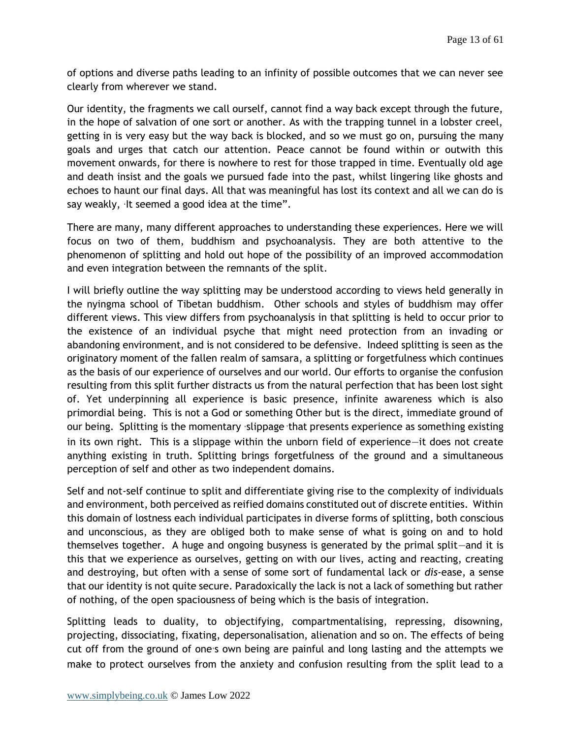of options and diverse paths leading to an infinity of possible outcomes that we can never see clearly from wherever we stand.

Our identity, the fragments we call ourself, cannot find a way back except through the future, in the hope of salvation of one sort or another. As with the trapping tunnel in a lobster creel, getting in is very easy but the way back is blocked, and so we must go on, pursuing the many goals and urges that catch our attention. Peace cannot be found within or outwith this movement onwards, for there is nowhere to rest for those trapped in time. Eventually old age and death insist and the goals we pursued fade into the past, whilst lingering like ghosts and echoes to haunt our final days. All that was meaningful has lost its context and all we can do is say weakly, 'It seemed a good idea at the time".

There are many, many different approaches to understanding these experiences. Here we will focus on two of them, buddhism and psychoanalysis. They are both attentive to the phenomenon of splitting and hold out hope of the possibility of an improved accommodation and even integration between the remnants of the split.

I will briefly outline the way splitting may be understood according to views held generally in the nyingma school of Tibetan buddhism. Other schools and styles of buddhism may offer different views. This view differs from psychoanalysis in that splitting is held to occur prior to the existence of an individual psyche that might need protection from an invading or abandoning environment, and is not considered to be defensive. Indeed splitting is seen as the originatory moment of the fallen realm of samsara, a splitting or forgetfulness which continues as the basis of our experience of ourselves and our world. Our efforts to organise the confusion resulting from this split further distracts us from the natural perfection that has been lost sight of. Yet underpinning all experience is basic presence, infinite awareness which is also primordial being. This is not a God or something Other but is the direct, immediate ground of our being. Splitting is the momentary 'slippage 'that presents experience as something existing in its own right. This is a slippage within the unborn field of experience—it does not create anything existing in truth. Splitting brings forgetfulness of the ground and a simultaneous perception of self and other as two independent domains.

Self and not-self continue to split and differentiate giving rise to the complexity of individuals and environment, both perceived as reified domains constituted out of discrete entities. Within this domain of lostness each individual participates in diverse forms of splitting, both conscious and unconscious, as they are obliged both to make sense of what is going on and to hold themselves together. A huge and ongoing busyness is generated by the primal split—and it is this that we experience as ourselves, getting on with our lives, acting and reacting, creating and destroying, but often with a sense of some sort of fundamental lack or *dis*-ease, a sense that our identity is not quite secure. Paradoxically the lack is not a lack of something but rather of nothing, of the open spaciousness of being which is the basis of integration.

Splitting leads to duality, to objectifying, compartmentalising, repressing, disowning, projecting, dissociating, fixating, depersonalisation, alienation and so on. The effects of being cut off from the ground of one's own being are painful and long lasting and the attempts we make to protect ourselves from the anxiety and confusion resulting from the split lead to a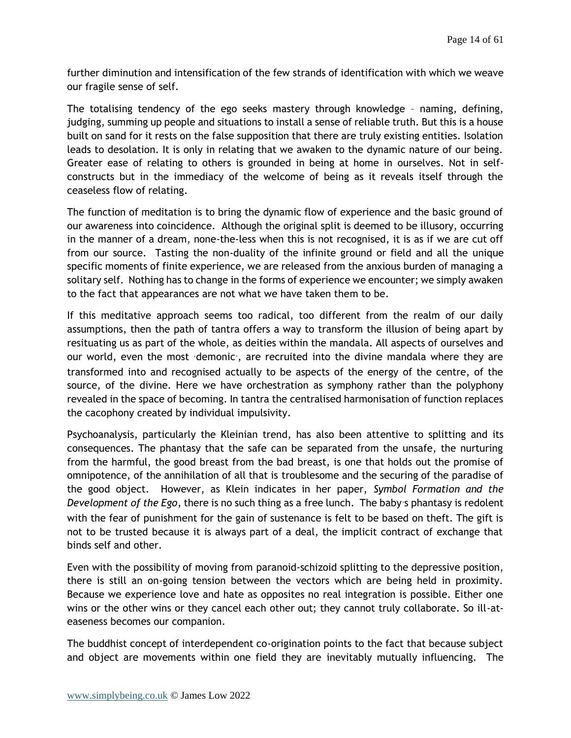further diminution and intensification of the few strands of identification with which we weave our fragile sense of self.

The totalising tendency of the ego seeks mastery through knowledge – naming, defining, judging, summing up people and situations to install a sense of reliable truth. But this is a house built on sand for it rests on the false supposition that there are truly existing entities. Isolation leads to desolation. It is only in relating that we awaken to the dynamic nature of our being. Greater ease of relating to others is grounded in being at home in ourselves. Not in selfconstructs but in the immediacy of the welcome of being as it reveals itself through the ceaseless flow of relating.

The function of meditation is to bring the dynamic flow of experience and the basic ground of our awareness into coincidence. Although the original split is deemed to be illusory, occurring in the manner of a dream, none-the-less when this is not recognised, it is as if we are cut off from our source. Tasting the non-duality of the infinite ground or field and all the unique specific moments of finite experience, we are released from the anxious burden of managing a solitary self. Nothing has to change in the forms of experience we encounter; we simply awaken to the fact that appearances are not what we have taken them to be.

If this meditative approach seems too radical, too different from the realm of our daily assumptions, then the path of tantra offers a way to transform the illusion of being apart by resituating us as part of the whole, as deities within the mandala. All aspects of ourselves and our world, even the most 'demonic', are recruited into the divine mandala where they are transformed into and recognised actually to be aspects of the energy of the centre, of the source, of the divine. Here we have orchestration as symphony rather than the polyphony revealed in the space of becoming. In tantra the centralised harmonisation of function replaces the cacophony created by individual impulsivity.

Psychoanalysis, particularly the Kleinian trend, has also been attentive to splitting and its consequences. The phantasy that the safe can be separated from the unsafe, the nurturing from the harmful, the good breast from the bad breast, is one that holds out the promise of omnipotence, of the annihilation of all that is troublesome and the securing of the paradise of the good object. However, as Klein indicates in her paper, *Symbol Formation and the Development of the Ego*, there is no such thing as a free lunch. The baby's phantasy is redolent with the fear of punishment for the gain of sustenance is felt to be based on theft. The gift is not to be trusted because it is always part of a deal, the implicit contract of exchange that binds self and other.

Even with the possibility of moving from paranoid-schizoid splitting to the depressive position, there is still an on-going tension between the vectors which are being held in proximity. Because we experience love and hate as opposites no real integration is possible. Either one wins or the other wins or they cancel each other out; they cannot truly collaborate. So ill-ateaseness becomes our companion.

The buddhist concept of interdependent co-origination points to the fact that because subject and object are movements within one field they are inevitably mutually influencing. The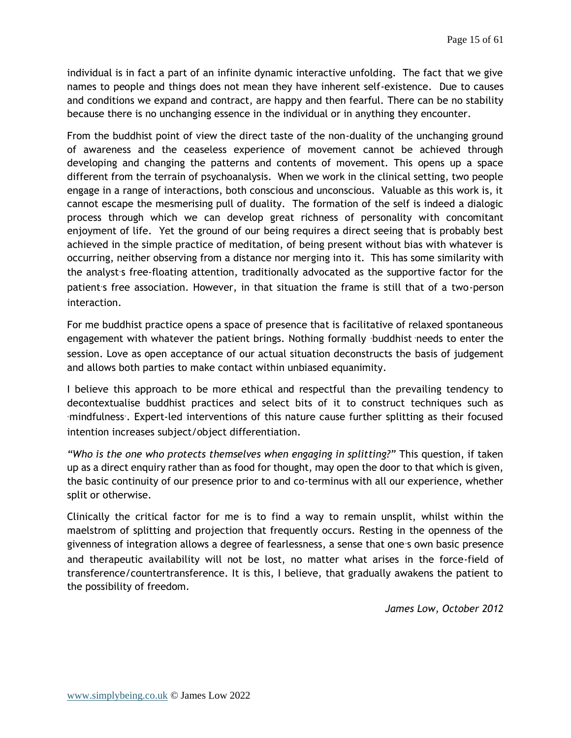individual is in fact a part of an infinite dynamic interactive unfolding. The fact that we give names to people and things does not mean they have inherent self-existence. Due to causes and conditions we expand and contract, are happy and then fearful. There can be no stability because there is no unchanging essence in the individual or in anything they encounter.

From the buddhist point of view the direct taste of the non-duality of the unchanging ground of awareness and the ceaseless experience of movement cannot be achieved through developing and changing the patterns and contents of movement. This opens up a space different from the terrain of psychoanalysis. When we work in the clinical setting, two people engage in a range of interactions, both conscious and unconscious. Valuable as this work is, it cannot escape the mesmerising pull of duality. The formation of the self is indeed a dialogic process through which we can develop great richness of personality with concomitant enjoyment of life. Yet the ground of our being requires a direct seeing that is probably best achieved in the simple practice of meditation, of being present without bias with whatever is occurring, neither observing from a distance nor merging into it. This has some similarity with the analyst's free-floating attention, traditionally advocated as the supportive factor for the patient's free association. However, in that situation the frame is still that of a two-person interaction.

For me buddhist practice opens a space of presence that is facilitative of relaxed spontaneous engagement with whatever the patient brings. Nothing formally 'buddhist 'needs to enter the session. Love as open acceptance of our actual situation deconstructs the basis of judgement and allows both parties to make contact within unbiased equanimity.

I believe this approach to be more ethical and respectful than the prevailing tendency to decontextualise buddhist practices and select bits of it to construct techniques such as 'mindfulness'. Expert-led interventions of this nature cause further splitting as their focused intention increases subject/object differentiation.

*"Who is the one who protects themselves when engaging in splitting?"* This question, if taken up as a direct enquiry rather than as food for thought, may open the door to that which is given, the basic continuity of our presence prior to and co-terminus with all our experience, whether split or otherwise.

Clinically the critical factor for me is to find a way to remain unsplit, whilst within the maelstrom of splitting and projection that frequently occurs. Resting in the openness of the givenness of integration allows a degree of fearlessness, a sense that one's own basic presence and therapeutic availability will not be lost, no matter what arises in the force-field of transference/countertransference. It is this, I believe, that gradually awakens the patient to the possibility of freedom.

*James Low, October 2012*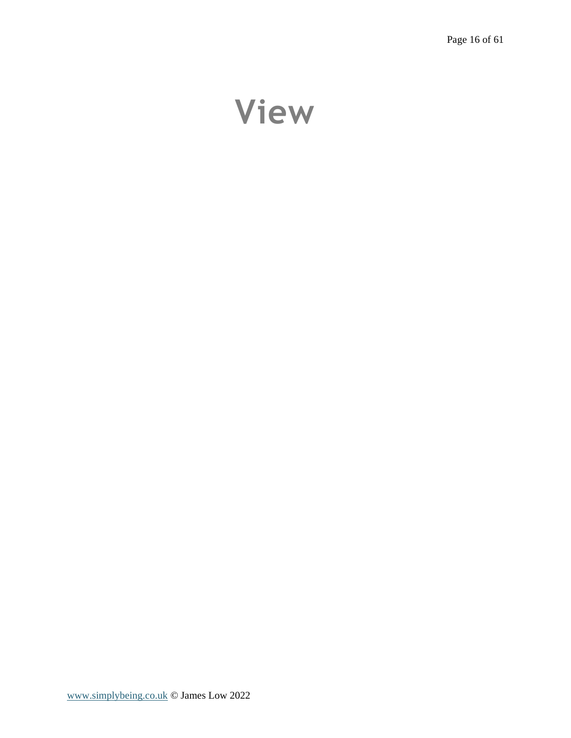# <span id="page-15-0"></span>**View**

[www.simplybeing.co.uk](http://www.simplybeing.co.uk/) © James Low 2022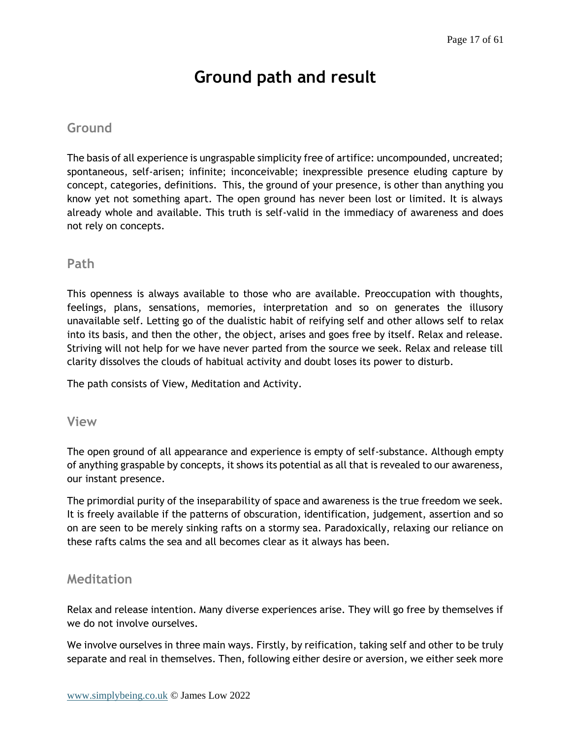# **Ground path and result**

## <span id="page-16-1"></span><span id="page-16-0"></span>**Ground**

The basis of all experience is ungraspable simplicity free of artifice: uncompounded, uncreated; spontaneous, self-arisen; infinite; inconceivable; inexpressible presence eluding capture by concept, categories, definitions. This, the ground of your presence, is other than anything you know yet not something apart. The open ground has never been lost or limited. It is always already whole and available. This truth is self-valid in the immediacy of awareness and does not rely on concepts.

### <span id="page-16-2"></span>**Path**

This openness is always available to those who are available. Preoccupation with thoughts, feelings, plans, sensations, memories, interpretation and so on generates the illusory unavailable self. Letting go of the dualistic habit of reifying self and other allows self to relax into its basis, and then the other, the object, arises and goes free by itself. Relax and release. Striving will not help for we have never parted from the source we seek. Relax and release till clarity dissolves the clouds of habitual activity and doubt loses its power to disturb.

The path consists of View, Meditation and Activity.

#### <span id="page-16-3"></span>**View**

The open ground of all appearance and experience is empty of self-substance. Although empty of anything graspable by concepts, it shows its potential as all that is revealed to our awareness, our instant presence.

The primordial purity of the inseparability of space and awareness is the true freedom we seek. It is freely available if the patterns of obscuration, identification, judgement, assertion and so on are seen to be merely sinking rafts on a stormy sea. Paradoxically, relaxing our reliance on these rafts calms the sea and all becomes clear as it always has been.

## <span id="page-16-4"></span>**Meditation**

Relax and release intention. Many diverse experiences arise. They will go free by themselves if we do not involve ourselves.

We involve ourselves in three main ways. Firstly, by reification, taking self and other to be truly separate and real in themselves. Then, following either desire or aversion, we either seek more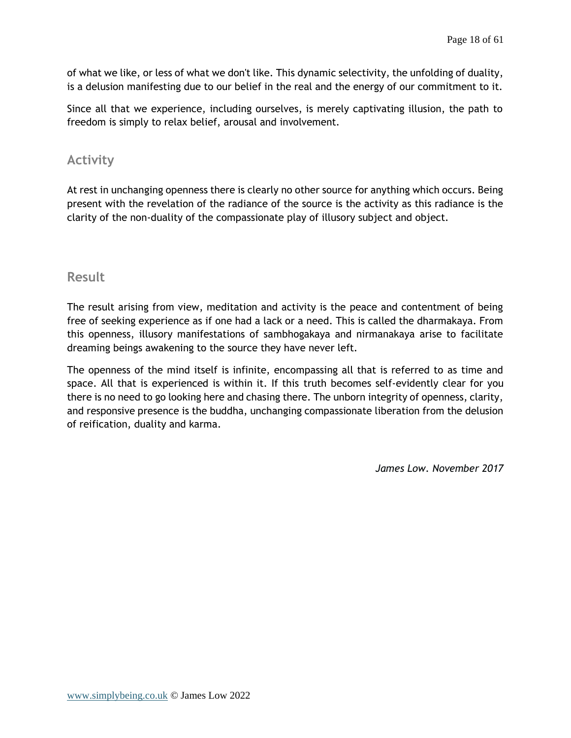of what we like, or less of what we don't like. This dynamic selectivity, the unfolding of duality, is a delusion manifesting due to our belief in the real and the energy of our commitment to it.

Since all that we experience, including ourselves, is merely captivating illusion, the path to freedom is simply to relax belief, arousal and involvement.

## <span id="page-17-0"></span>**Activity**

At rest in unchanging openness there is clearly no other source for anything which occurs. Being present with the revelation of the radiance of the source is the activity as this radiance is the clarity of the non-duality of the compassionate play of illusory subject and object.

### <span id="page-17-1"></span>**Result**

The result arising from view, meditation and activity is the peace and contentment of being free of seeking experience as if one had a lack or a need. This is called the dharmakaya. From this openness, illusory manifestations of sambhogakaya and nirmanakaya arise to facilitate dreaming beings awakening to the source they have never left.

The openness of the mind itself is infinite, encompassing all that is referred to as time and space. All that is experienced is within it. If this truth becomes self-evidently clear for you there is no need to go looking here and chasing there. The unborn integrity of openness, clarity, and responsive presence is the buddha, unchanging compassionate liberation from the delusion of reification, duality and karma.

*James Low. November 2017*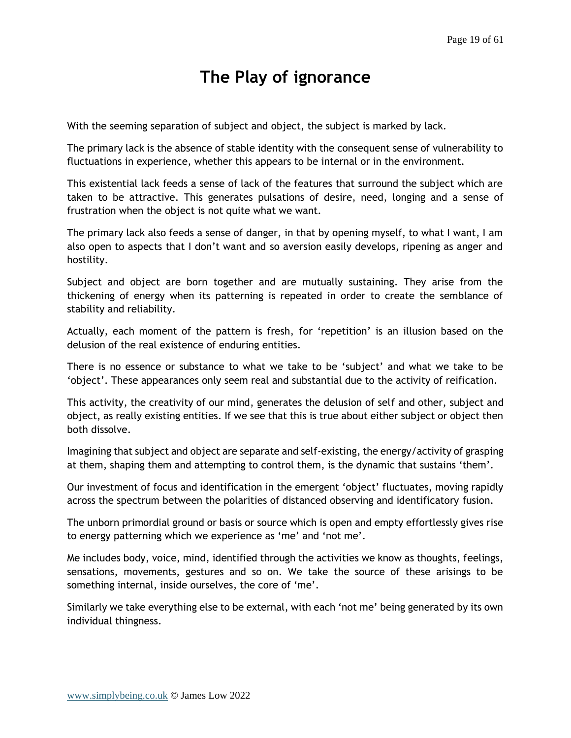# **The Play of ignorance**

<span id="page-18-0"></span>With the seeming separation of subject and object, the subject is marked by lack.

The primary lack is the absence of stable identity with the consequent sense of vulnerability to fluctuations in experience, whether this appears to be internal or in the environment.

This existential lack feeds a sense of lack of the features that surround the subject which are taken to be attractive. This generates pulsations of desire, need, longing and a sense of frustration when the object is not quite what we want.

The primary lack also feeds a sense of danger, in that by opening myself, to what I want, I am also open to aspects that I don't want and so aversion easily develops, ripening as anger and hostility.

Subject and object are born together and are mutually sustaining. They arise from the thickening of energy when its patterning is repeated in order to create the semblance of stability and reliability.

Actually, each moment of the pattern is fresh, for 'repetition' is an illusion based on the delusion of the real existence of enduring entities.

There is no essence or substance to what we take to be 'subject' and what we take to be 'object'. These appearances only seem real and substantial due to the activity of reification.

This activity, the creativity of our mind, generates the delusion of self and other, subject and object, as really existing entities. If we see that this is true about either subject or object then both dissolve.

Imagining that subject and object are separate and self-existing, the energy/activity of grasping at them, shaping them and attempting to control them, is the dynamic that sustains 'them'.

Our investment of focus and identification in the emergent 'object' fluctuates, moving rapidly across the spectrum between the polarities of distanced observing and identificatory fusion.

The unborn primordial ground or basis or source which is open and empty effortlessly gives rise to energy patterning which we experience as 'me' and 'not me'.

Me includes body, voice, mind, identified through the activities we know as thoughts, feelings, sensations, movements, gestures and so on. We take the source of these arisings to be something internal, inside ourselves, the core of 'me'.

Similarly we take everything else to be external, with each 'not me' being generated by its own individual thingness.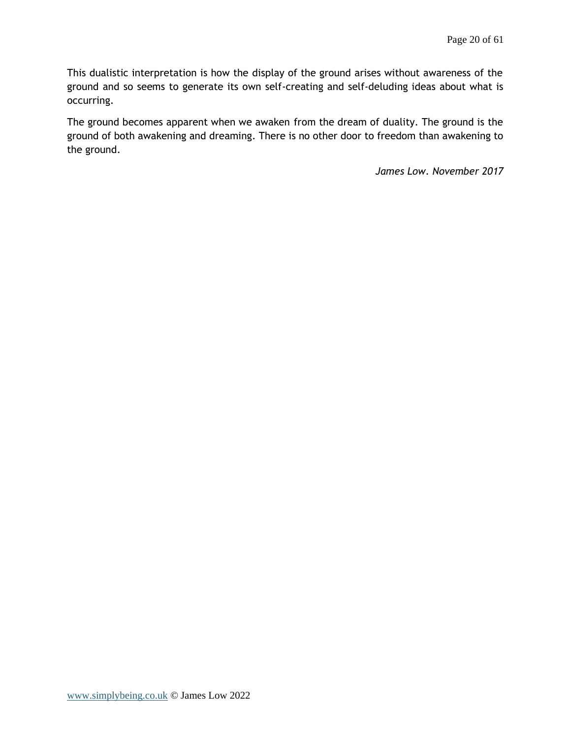This dualistic interpretation is how the display of the ground arises without awareness of the ground and so seems to generate its own self-creating and self-deluding ideas about what is occurring.

The ground becomes apparent when we awaken from the dream of duality. The ground is the ground of both awakening and dreaming. There is no other door to freedom than awakening to the ground.

*James Low. November 2017*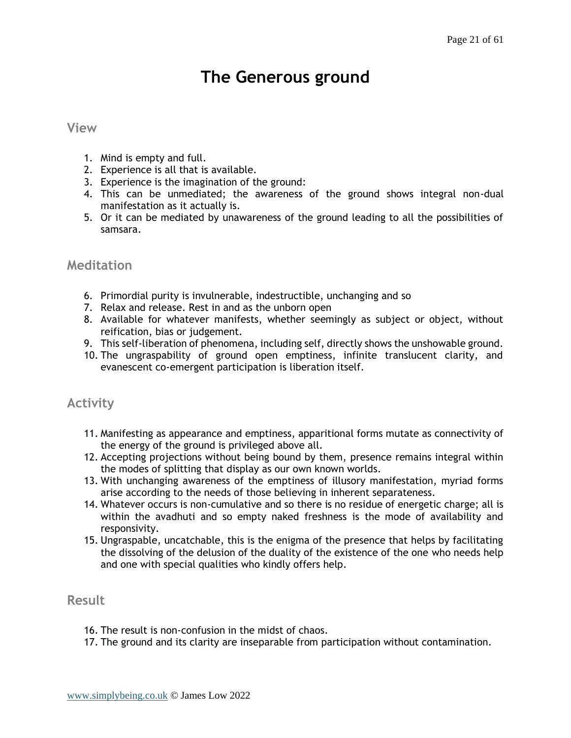# **The Generous ground**

#### <span id="page-20-1"></span><span id="page-20-0"></span>**View**

- 1. Mind is empty and full.
- 2. Experience is all that is available.
- 3. Experience is the imagination of the ground:
- 4. This can be unmediated; the awareness of the ground shows integral non-dual manifestation as it actually is.
- 5. Or it can be mediated by unawareness of the ground leading to all the possibilities of samsara.

#### <span id="page-20-2"></span>**Meditation**

- 6. Primordial purity is invulnerable, indestructible, unchanging and so
- 7. Relax and release. Rest in and as the unborn open
- 8. Available for whatever manifests, whether seemingly as subject or object, without reification, bias or judgement.
- 9. This self-liberation of phenomena, including self, directly shows the unshowable ground.
- 10. The ungraspability of ground open emptiness, infinite translucent clarity, and evanescent co-emergent participation is liberation itself.

## <span id="page-20-3"></span>**Activity**

- 11. Manifesting as appearance and emptiness, apparitional forms mutate as connectivity of the energy of the ground is privileged above all.
- 12. Accepting projections without being bound by them, presence remains integral within the modes of splitting that display as our own known worlds.
- 13. With unchanging awareness of the emptiness of illusory manifestation, myriad forms arise according to the needs of those believing in inherent separateness.
- 14. Whatever occurs is non-cumulative and so there is no residue of energetic charge; all is within the avadhuti and so empty naked freshness is the mode of availability and responsivity.
- 15. Ungraspable, uncatchable, this is the enigma of the presence that helps by facilitating the dissolving of the delusion of the duality of the existence of the one who needs help and one with special qualities who kindly offers help.

### <span id="page-20-4"></span>**Result**

- 16. The result is non-confusion in the midst of chaos.
- 17. The ground and its clarity are inseparable from participation without contamination.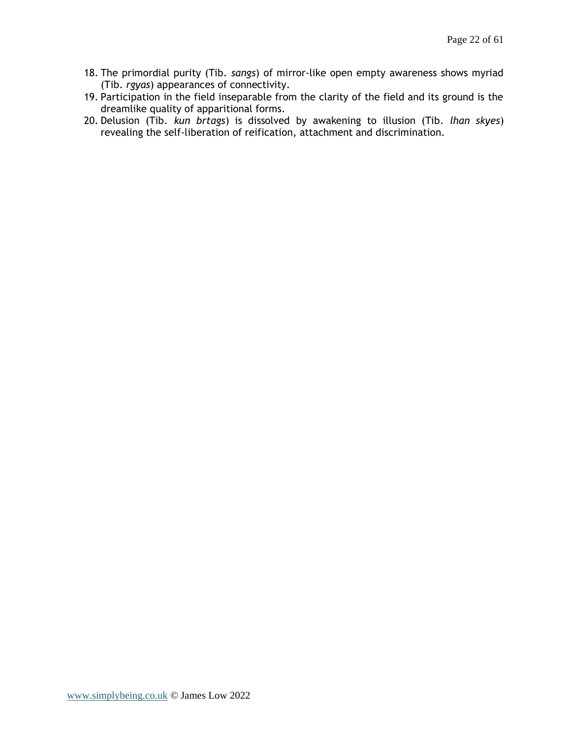- 18. The primordial purity (Tib. *sangs*) of mirror-like open empty awareness shows myriad (Tib. *rgyas*) appearances of connectivity.
- 19. Participation in the field inseparable from the clarity of the field and its ground is the dreamlike quality of apparitional forms.
- 20. Delusion (Tib. *kun brtags*) is dissolved by awakening to illusion (Tib*. lhan skyes*) revealing the self-liberation of reification, attachment and discrimination.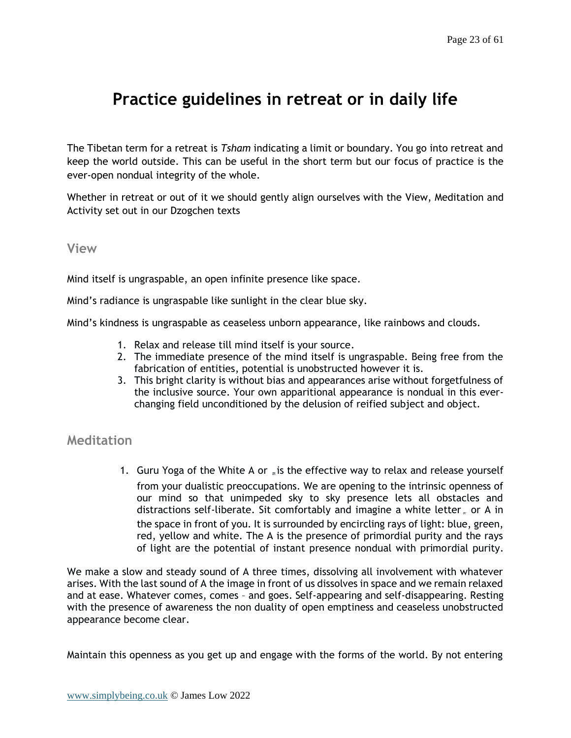## <span id="page-22-0"></span>**Practice guidelines in retreat or in daily life**

The Tibetan term for a retreat is *Tsham* indicating a limit or boundary. You go into retreat and keep the world outside. This can be useful in the short term but our focus of practice is the ever-open nondual integrity of the whole.

Whether in retreat or out of it we should gently align ourselves with the View, Meditation and Activity set out in our Dzogchen texts

#### <span id="page-22-1"></span>**View**

Mind itself is ungraspable, an open infinite presence like space.

Mind's radiance is ungraspable like sunlight in the clear blue sky.

Mind's kindness is ungraspable as ceaseless unborn appearance, like rainbows and clouds.

- 1. Relax and release till mind itself is your source.
- 2. The immediate presence of the mind itself is ungraspable. Being free from the fabrication of entities, potential is unobstructed however it is.
- 3. This bright clarity is without bias and appearances arise without forgetfulness of the inclusive source. Your own apparitional appearance is nondual in this everchanging field unconditioned by the delusion of reified subject and object.

### <span id="page-22-2"></span>**Meditation**

1. Guru Yoga of the White A or  $\mathbb{R}^n$  is the effective way to relax and release yourself from your dualistic preoccupations. We are opening to the intrinsic openness of our mind so that unimpeded sky to sky presence lets all obstacles and distractions self-liberate. Sit comfortably and imagine a white letter  $<sub>x</sub>$  or A in</sub> the space in front of you. It is surrounded by encircling rays of light: blue, green, red, yellow and white. The A is the presence of primordial purity and the rays of light are the potential of instant presence nondual with primordial purity.

We make a slow and steady sound of A three times, dissolving all involvement with whatever arises. With the last sound of A the image in front of us dissolves in space and we remain relaxed and at ease. Whatever comes, comes – and goes. Self-appearing and self-disappearing. Resting with the presence of awareness the non duality of open emptiness and ceaseless unobstructed appearance become clear.

Maintain this openness as you get up and engage with the forms of the world. By not entering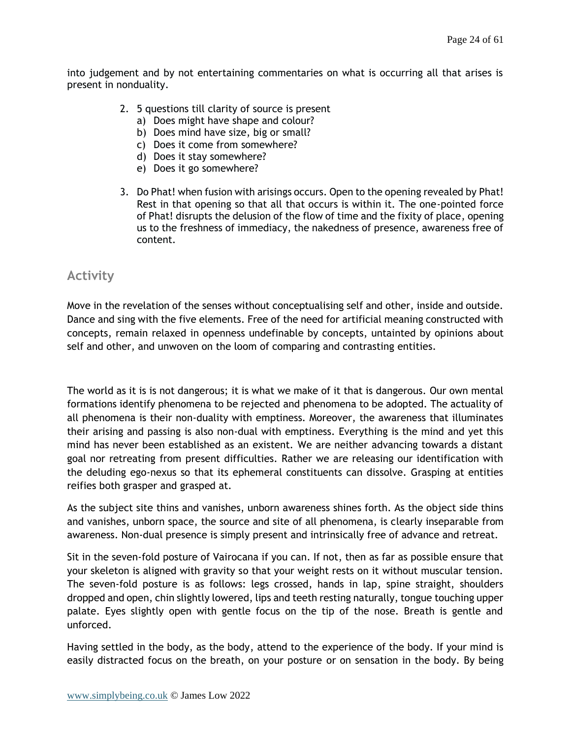into judgement and by not entertaining commentaries on what is occurring all that arises is present in nonduality.

- 2. 5 questions till clarity of source is present
	- a) Does might have shape and colour?
	- b) Does mind have size, big or small?
	- c) Does it come from somewhere?
	- d) Does it stay somewhere?
	- e) Does it go somewhere?
- 3. Do Phat! when fusion with arisings occurs. Open to the opening revealed by Phat! Rest in that opening so that all that occurs is within it. The one-pointed force of Phat! disrupts the delusion of the flow of time and the fixity of place, opening us to the freshness of immediacy, the nakedness of presence, awareness free of content.

## <span id="page-23-0"></span>**Activity**

Move in the revelation of the senses without conceptualising self and other, inside and outside. Dance and sing with the five elements. Free of the need for artificial meaning constructed with concepts, remain relaxed in openness undefinable by concepts, untainted by opinions about self and other, and unwoven on the loom of comparing and contrasting entities.

The world as it is is not dangerous; it is what we make of it that is dangerous. Our own mental formations identify phenomena to be rejected and phenomena to be adopted. The actuality of all phenomena is their non-duality with emptiness. Moreover, the awareness that illuminates their arising and passing is also non-dual with emptiness. Everything is the mind and yet this mind has never been established as an existent. We are neither advancing towards a distant goal nor retreating from present difficulties. Rather we are releasing our identification with the deluding ego-nexus so that its ephemeral constituents can dissolve. Grasping at entities reifies both grasper and grasped at.

As the subject site thins and vanishes, unborn awareness shines forth. As the object side thins and vanishes, unborn space, the source and site of all phenomena, is clearly inseparable from awareness. Non-dual presence is simply present and intrinsically free of advance and retreat.

Sit in the seven-fold posture of Vairocana if you can. If not, then as far as possible ensure that your skeleton is aligned with gravity so that your weight rests on it without muscular tension. The seven-fold posture is as follows: legs crossed, hands in lap, spine straight, shoulders dropped and open, chin slightly lowered, lips and teeth resting naturally, tongue touching upper palate. Eyes slightly open with gentle focus on the tip of the nose. Breath is gentle and unforced.

Having settled in the body, as the body, attend to the experience of the body. If your mind is easily distracted focus on the breath, on your posture or on sensation in the body. By being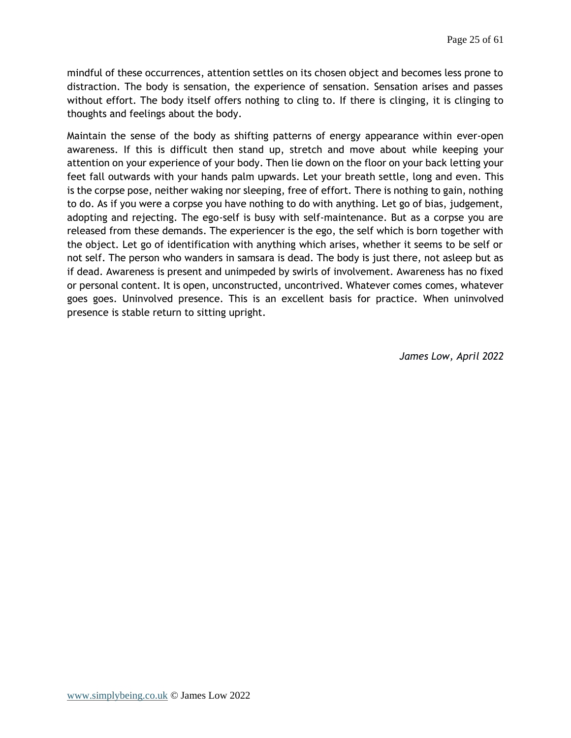mindful of these occurrences, attention settles on its chosen object and becomes less prone to distraction. The body is sensation, the experience of sensation. Sensation arises and passes without effort. The body itself offers nothing to cling to. If there is clinging, it is clinging to thoughts and feelings about the body.

Maintain the sense of the body as shifting patterns of energy appearance within ever-open awareness. If this is difficult then stand up, stretch and move about while keeping your attention on your experience of your body. Then lie down on the floor on your back letting your feet fall outwards with your hands palm upwards. Let your breath settle, long and even. This is the corpse pose, neither waking nor sleeping, free of effort. There is nothing to gain, nothing to do. As if you were a corpse you have nothing to do with anything. Let go of bias, judgement, adopting and rejecting. The ego-self is busy with self-maintenance. But as a corpse you are released from these demands. The experiencer is the ego, the self which is born together with the object. Let go of identification with anything which arises, whether it seems to be self or not self. The person who wanders in samsara is dead. The body is just there, not asleep but as if dead. Awareness is present and unimpeded by swirls of involvement. Awareness has no fixed or personal content. It is open, unconstructed, uncontrived. Whatever comes comes, whatever goes goes. Uninvolved presence. This is an excellent basis for practice. When uninvolved presence is stable return to sitting upright.

*James Low, April 2022*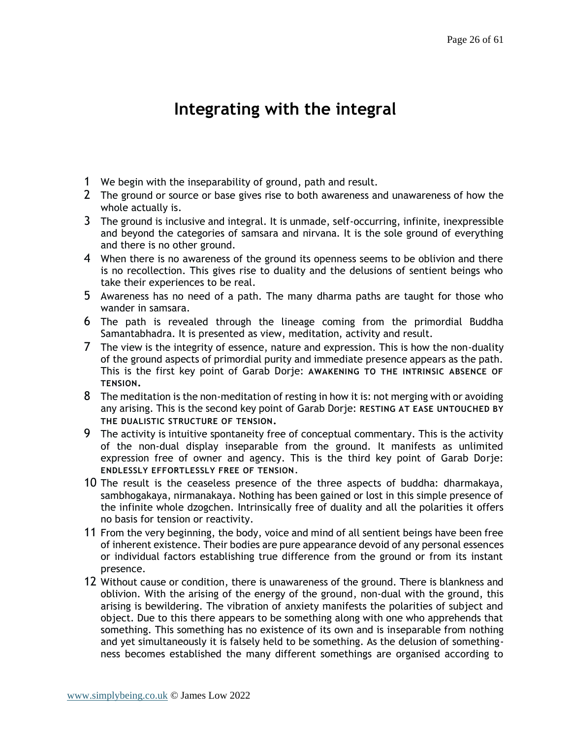# **Integrating with the integral**

- <span id="page-25-0"></span>1 We begin with the inseparability of ground, path and result.
- 2 The ground or source or base gives rise to both awareness and unawareness of how the whole actually is.
- 3 The ground is inclusive and integral. It is unmade, self-occurring, infinite, inexpressible and beyond the categories of samsara and nirvana. It is the sole ground of everything and there is no other ground.
- 4 When there is no awareness of the ground its openness seems to be oblivion and there is no recollection. This gives rise to duality and the delusions of sentient beings who take their experiences to be real.
- 5 Awareness has no need of a path. The many dharma paths are taught for those who wander in samsara.
- 6 The path is revealed through the lineage coming from the primordial Buddha Samantabhadra. It is presented as view, meditation, activity and result.
- 7 The view is the integrity of essence, nature and expression. This is how the non-duality of the ground aspects of primordial purity and immediate presence appears as the path. This is the first key point of Garab Dorje: **AWAKENING TO THE INTRINSIC ABSENCE OF TENSION.**
- $8$  The meditation is the non-meditation of resting in how it is: not merging with or avoiding any arising. This is the second key point of Garab Dorje: **RESTING AT EASE UNTOUCHED BY THE DUALISTIC STRUCTURE OF TENSION.**
- 9 The activity is intuitive spontaneity free of conceptual commentary. This is the activity of the non-dual display inseparable from the ground. It manifests as unlimited expression free of owner and agency. This is the third key point of Garab Dorje: **ENDLESSLY EFFORTLESSLY FREE OF TENSION**.
- 10 The result is the ceaseless presence of the three aspects of buddha: dharmakaya, sambhogakaya, nirmanakaya. Nothing has been gained or lost in this simple presence of the infinite whole dzogchen. Intrinsically free of duality and all the polarities it offers no basis for tension or reactivity.
- 11 From the very beginning, the body, voice and mind of all sentient beings have been free of inherent existence. Their bodies are pure appearance devoid of any personal essences or individual factors establishing true difference from the ground or from its instant presence.
- 12 Without cause or condition, there is unawareness of the ground. There is blankness and oblivion. With the arising of the energy of the ground, non-dual with the ground, this arising is bewildering. The vibration of anxiety manifests the polarities of subject and object. Due to this there appears to be something along with one who apprehends that something. This something has no existence of its own and is inseparable from nothing and yet simultaneously it is falsely held to be something. As the delusion of somethingness becomes established the many different somethings are organised according to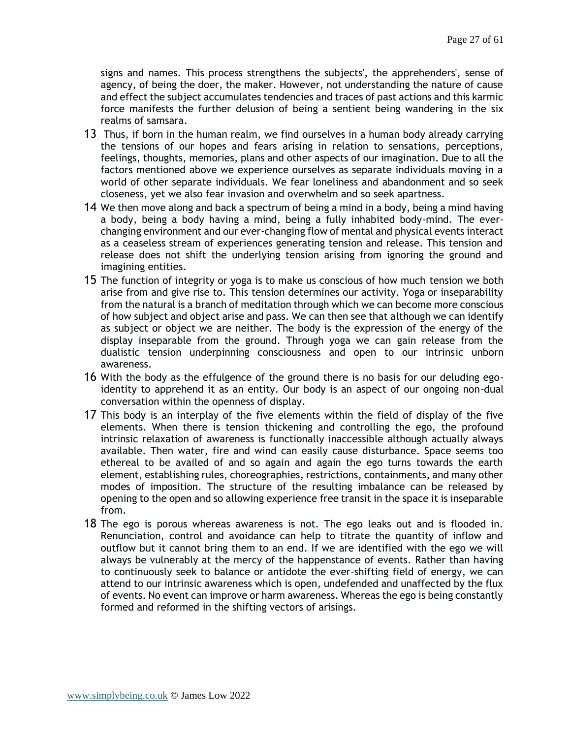signs and names. This process strengthens the subjects', the apprehenders', sense of agency, of being the doer, the maker. However, not understanding the nature of cause and effect the subject accumulates tendencies and traces of past actions and this karmic force manifests the further delusion of being a sentient being wandering in the six realms of samsara.

- 13 Thus, if born in the human realm, we find ourselves in a human body already carrying the tensions of our hopes and fears arising in relation to sensations, perceptions, feelings, thoughts, memories, plans and other aspects of our imagination. Due to all the factors mentioned above we experience ourselves as separate individuals moving in a world of other separate individuals. We fear loneliness and abandonment and so seek closeness, yet we also fear invasion and overwhelm and so seek apartness.
- 14 We then move along and back a spectrum of being a mind in a body, being a mind having a body, being a body having a mind, being a fully inhabited body-mind. The everchanging environment and our ever-changing flow of mental and physical events interact as a ceaseless stream of experiences generating tension and release. This tension and release does not shift the underlying tension arising from ignoring the ground and imagining entities.
- 15 The function of integrity or yoga is to make us conscious of how much tension we both arise from and give rise to. This tension determines our activity. Yoga or inseparability from the natural is a branch of meditation through which we can become more conscious of how subject and object arise and pass. We can then see that although we can identify as subject or object we are neither. The body is the expression of the energy of the display inseparable from the ground. Through yoga we can gain release from the dualistic tension underpinning consciousness and open to our intrinsic unborn awareness.
- 16 With the body as the effulgence of the ground there is no basis for our deluding egoidentity to apprehend it as an entity. Our body is an aspect of our ongoing non-dual conversation within the openness of display.
- 17 This body is an interplay of the five elements within the field of display of the five elements. When there is tension thickening and controlling the ego, the profound intrinsic relaxation of awareness is functionally inaccessible although actually always available. Then water, fire and wind can easily cause disturbance. Space seems too ethereal to be availed of and so again and again the ego turns towards the earth element, establishing rules, choreographies, restrictions, containments, and many other modes of imposition. The structure of the resulting imbalance can be released by opening to the open and so allowing experience free transit in the space it is inseparable from.
- 18 The ego is porous whereas awareness is not. The ego leaks out and is flooded in. Renunciation, control and avoidance can help to titrate the quantity of inflow and outflow but it cannot bring them to an end. If we are identified with the ego we will always be vulnerably at the mercy of the happenstance of events. Rather than having to continuously seek to balance or antidote the ever-shifting field of energy, we can attend to our intrinsic awareness which is open, undefended and unaffected by the flux of events. No event can improve or harm awareness. Whereas the ego is being constantly formed and reformed in the shifting vectors of arisings.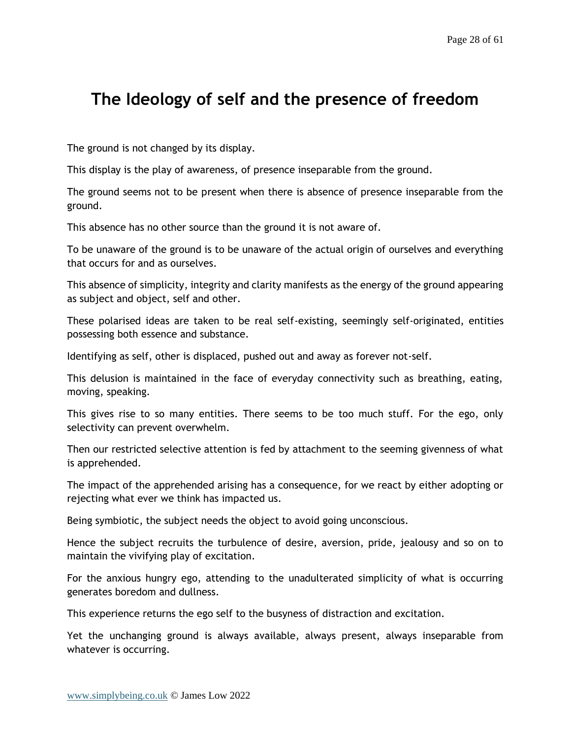## <span id="page-27-0"></span>**The Ideology of self and the presence of freedom**

The ground is not changed by its display.

This display is the play of awareness, of presence inseparable from the ground.

The ground seems not to be present when there is absence of presence inseparable from the ground.

This absence has no other source than the ground it is not aware of.

To be unaware of the ground is to be unaware of the actual origin of ourselves and everything that occurs for and as ourselves.

This absence of simplicity, integrity and clarity manifests as the energy of the ground appearing as subject and object, self and other.

These polarised ideas are taken to be real self-existing, seemingly self-originated, entities possessing both essence and substance.

Identifying as self, other is displaced, pushed out and away as forever not-self.

This delusion is maintained in the face of everyday connectivity such as breathing, eating, moving, speaking.

This gives rise to so many entities. There seems to be too much stuff. For the ego, only selectivity can prevent overwhelm.

Then our restricted selective attention is fed by attachment to the seeming givenness of what is apprehended.

The impact of the apprehended arising has a consequence, for we react by either adopting or rejecting what ever we think has impacted us.

Being symbiotic, the subject needs the object to avoid going unconscious.

Hence the subject recruits the turbulence of desire, aversion, pride, jealousy and so on to maintain the vivifying play of excitation.

For the anxious hungry ego, attending to the unadulterated simplicity of what is occurring generates boredom and dullness.

This experience returns the ego self to the busyness of distraction and excitation.

Yet the unchanging ground is always available, always present, always inseparable from whatever is occurring.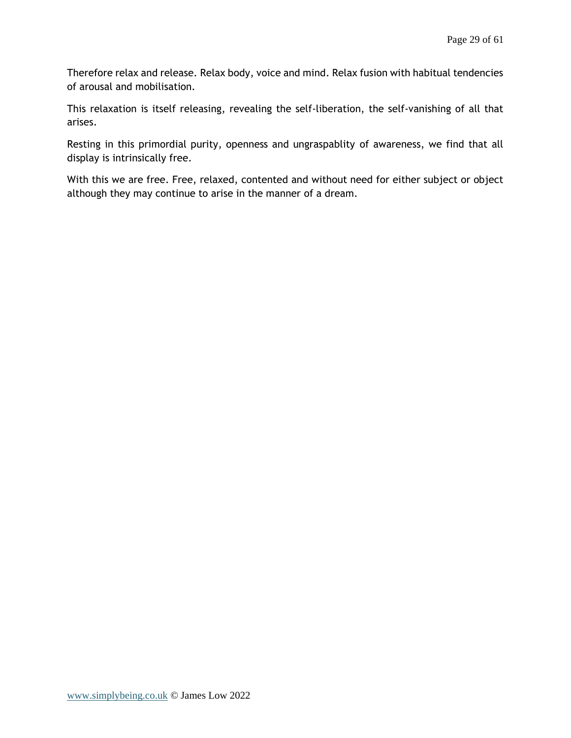Therefore relax and release. Relax body, voice and mind. Relax fusion with habitual tendencies of arousal and mobilisation.

This relaxation is itself releasing, revealing the self-liberation, the self-vanishing of all that arises.

Resting in this primordial purity, openness and ungraspablity of awareness, we find that all display is intrinsically free.

With this we are free. Free, relaxed, contented and without need for either subject or object although they may continue to arise in the manner of a dream.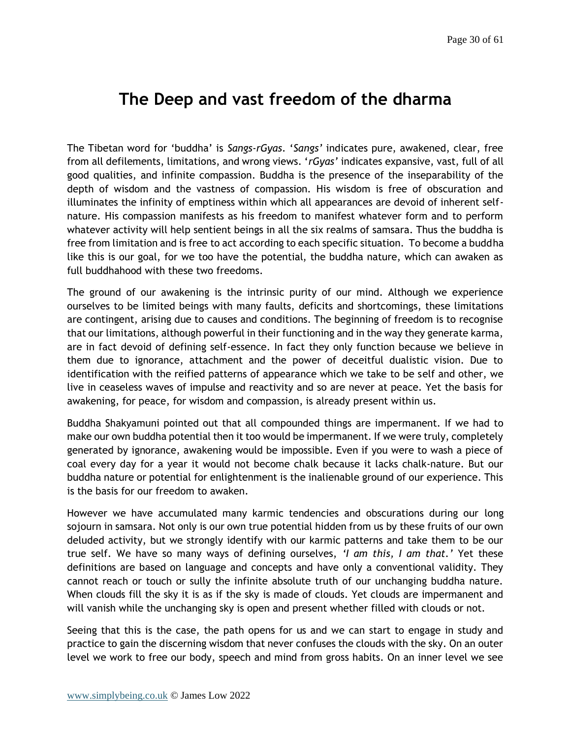## <span id="page-29-0"></span>**The Deep and vast freedom of the dharma**

The Tibetan word for 'buddha' is *Sangs-rGyas*. '*Sangs'* indicates pure, awakened, clear, free from all defilements, limitations, and wrong views. '*rGyas'* indicates expansive, vast, full of all good qualities, and infinite compassion. Buddha is the presence of the inseparability of the depth of wisdom and the vastness of compassion. His wisdom is free of obscuration and illuminates the infinity of emptiness within which all appearances are devoid of inherent selfnature. His compassion manifests as his freedom to manifest whatever form and to perform whatever activity will help sentient beings in all the six realms of samsara. Thus the buddha is free from limitation and is free to act according to each specific situation. To become a buddha like this is our goal, for we too have the potential, the buddha nature, which can awaken as full buddhahood with these two freedoms.

The ground of our awakening is the intrinsic purity of our mind. Although we experience ourselves to be limited beings with many faults, deficits and shortcomings, these limitations are contingent, arising due to causes and conditions. The beginning of freedom is to recognise that our limitations, although powerful in their functioning and in the way they generate karma, are in fact devoid of defining self-essence. In fact they only function because we believe in them due to ignorance, attachment and the power of deceitful dualistic vision. Due to identification with the reified patterns of appearance which we take to be self and other, we live in ceaseless waves of impulse and reactivity and so are never at peace. Yet the basis for awakening, for peace, for wisdom and compassion, is already present within us.

Buddha Shakyamuni pointed out that all compounded things are impermanent. If we had to make our own buddha potential then it too would be impermanent. If we were truly, completely generated by ignorance, awakening would be impossible. Even if you were to wash a piece of coal every day for a year it would not become chalk because it lacks chalk-nature. But our buddha nature or potential for enlightenment is the inalienable ground of our experience. This is the basis for our freedom to awaken.

However we have accumulated many karmic tendencies and obscurations during our long sojourn in samsara. Not only is our own true potential hidden from us by these fruits of our own deluded activity, but we strongly identify with our karmic patterns and take them to be our true self. We have so many ways of defining ourselves, *'I am this, I am that.'* Yet these definitions are based on language and concepts and have only a conventional validity. They cannot reach or touch or sully the infinite absolute truth of our unchanging buddha nature. When clouds fill the sky it is as if the sky is made of clouds. Yet clouds are impermanent and will vanish while the unchanging sky is open and present whether filled with clouds or not.

Seeing that this is the case, the path opens for us and we can start to engage in study and practice to gain the discerning wisdom that never confuses the clouds with the sky. On an outer level we work to free our body, speech and mind from gross habits. On an inner level we see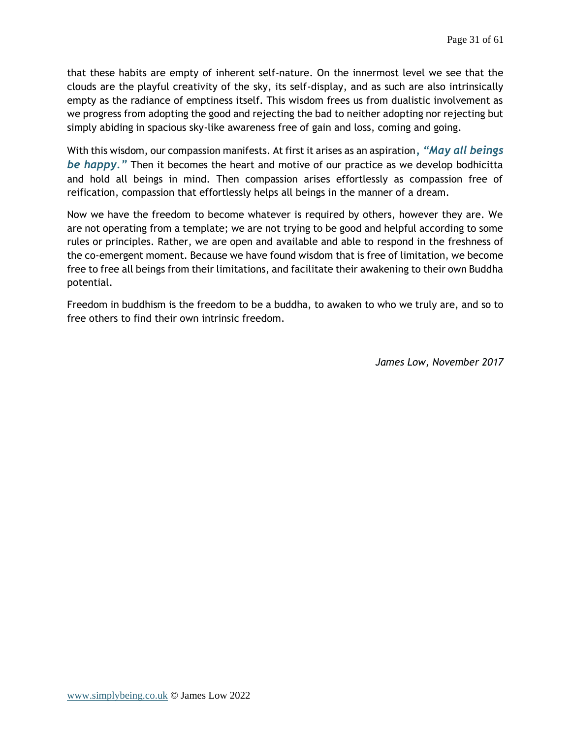that these habits are empty of inherent self-nature. On the innermost level we see that the clouds are the playful creativity of the sky, its self-display, and as such are also intrinsically empty as the radiance of emptiness itself. This wisdom frees us from dualistic involvement as we progress from adopting the good and rejecting the bad to neither adopting nor rejecting but simply abiding in spacious sky-like awareness free of gain and loss, coming and going.

With this wisdom, our compassion manifests. At first it arises as an aspiration*, "May all beings be happy."* Then it becomes the heart and motive of our practice as we develop bodhicitta and hold all beings in mind. Then compassion arises effortlessly as compassion free of reification, compassion that effortlessly helps all beings in the manner of a dream.

Now we have the freedom to become whatever is required by others, however they are. We are not operating from a template; we are not trying to be good and helpful according to some rules or principles. Rather, we are open and available and able to respond in the freshness of the co-emergent moment. Because we have found wisdom that is free of limitation, we become free to free all beings from their limitations, and facilitate their awakening to their own Buddha potential.

Freedom in buddhism is the freedom to be a buddha, to awaken to who we truly are, and so to free others to find their own intrinsic freedom.

*James Low, November 2017*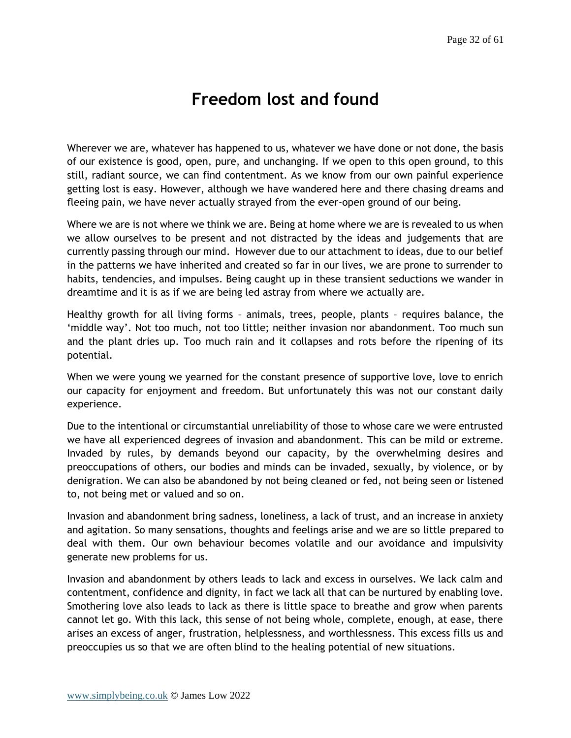## **Freedom lost and found**

<span id="page-31-0"></span>Wherever we are, whatever has happened to us, whatever we have done or not done, the basis of our existence is good, open, pure, and unchanging. If we open to this open ground, to this still, radiant source, we can find contentment. As we know from our own painful experience getting lost is easy. However, although we have wandered here and there chasing dreams and fleeing pain, we have never actually strayed from the ever-open ground of our being.

Where we are is not where we think we are. Being at home where we are is revealed to us when we allow ourselves to be present and not distracted by the ideas and judgements that are currently passing through our mind. However due to our attachment to ideas, due to our belief in the patterns we have inherited and created so far in our lives, we are prone to surrender to habits, tendencies, and impulses. Being caught up in these transient seductions we wander in dreamtime and it is as if we are being led astray from where we actually are.

Healthy growth for all living forms – animals, trees, people, plants – requires balance, the 'middle way'. Not too much, not too little; neither invasion nor abandonment. Too much sun and the plant dries up. Too much rain and it collapses and rots before the ripening of its potential.

When we were young we yearned for the constant presence of supportive love, love to enrich our capacity for enjoyment and freedom. But unfortunately this was not our constant daily experience.

Due to the intentional or circumstantial unreliability of those to whose care we were entrusted we have all experienced degrees of invasion and abandonment. This can be mild or extreme. Invaded by rules, by demands beyond our capacity, by the overwhelming desires and preoccupations of others, our bodies and minds can be invaded, sexually, by violence, or by denigration. We can also be abandoned by not being cleaned or fed, not being seen or listened to, not being met or valued and so on.

Invasion and abandonment bring sadness, loneliness, a lack of trust, and an increase in anxiety and agitation. So many sensations, thoughts and feelings arise and we are so little prepared to deal with them. Our own behaviour becomes volatile and our avoidance and impulsivity generate new problems for us.

Invasion and abandonment by others leads to lack and excess in ourselves. We lack calm and contentment, confidence and dignity, in fact we lack all that can be nurtured by enabling love. Smothering love also leads to lack as there is little space to breathe and grow when parents cannot let go. With this lack, this sense of not being whole, complete, enough, at ease, there arises an excess of anger, frustration, helplessness, and worthlessness. This excess fills us and preoccupies us so that we are often blind to the healing potential of new situations.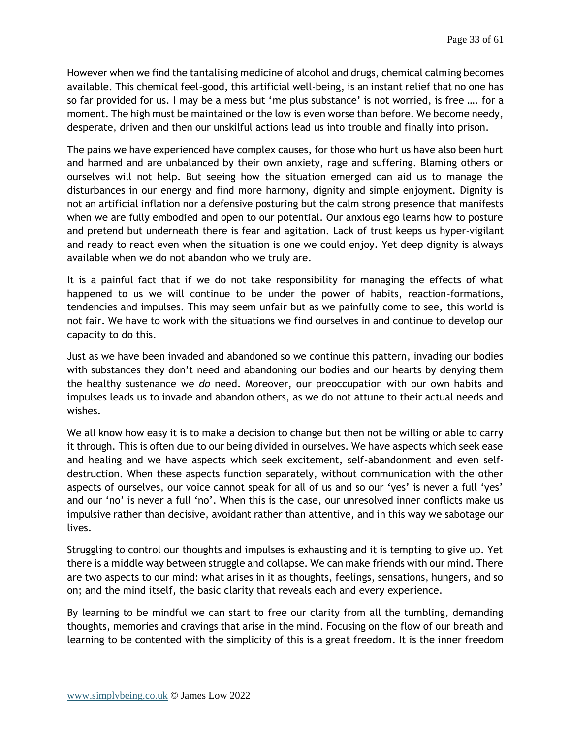However when we find the tantalising medicine of alcohol and drugs, chemical calming becomes available. This chemical feel-good, this artificial well-being, is an instant relief that no one has so far provided for us. I may be a mess but 'me plus substance' is not worried, is free …. for a moment. The high must be maintained or the low is even worse than before. We become needy, desperate, driven and then our unskilful actions lead us into trouble and finally into prison.

The pains we have experienced have complex causes, for those who hurt us have also been hurt and harmed and are unbalanced by their own anxiety, rage and suffering. Blaming others or ourselves will not help. But seeing how the situation emerged can aid us to manage the disturbances in our energy and find more harmony, dignity and simple enjoyment. Dignity is not an artificial inflation nor a defensive posturing but the calm strong presence that manifests when we are fully embodied and open to our potential. Our anxious ego learns how to posture and pretend but underneath there is fear and agitation. Lack of trust keeps us hyper-vigilant and ready to react even when the situation is one we could enjoy. Yet deep dignity is always available when we do not abandon who we truly are.

It is a painful fact that if we do not take responsibility for managing the effects of what happened to us we will continue to be under the power of habits, reaction-formations, tendencies and impulses. This may seem unfair but as we painfully come to see, this world is not fair. We have to work with the situations we find ourselves in and continue to develop our capacity to do this.

Just as we have been invaded and abandoned so we continue this pattern, invading our bodies with substances they don't need and abandoning our bodies and our hearts by denying them the healthy sustenance we *do* need. Moreover, our preoccupation with our own habits and impulses leads us to invade and abandon others, as we do not attune to their actual needs and wishes.

We all know how easy it is to make a decision to change but then not be willing or able to carry it through. This is often due to our being divided in ourselves. We have aspects which seek ease and healing and we have aspects which seek excitement, self-abandonment and even selfdestruction. When these aspects function separately, without communication with the other aspects of ourselves, our voice cannot speak for all of us and so our 'yes' is never a full 'yes' and our 'no' is never a full 'no'. When this is the case, our unresolved inner conflicts make us impulsive rather than decisive, avoidant rather than attentive, and in this way we sabotage our lives.

Struggling to control our thoughts and impulses is exhausting and it is tempting to give up. Yet there is a middle way between struggle and collapse. We can make friends with our mind. There are two aspects to our mind: what arises in it as thoughts, feelings, sensations, hungers, and so on; and the mind itself, the basic clarity that reveals each and every experience.

By learning to be mindful we can start to free our clarity from all the tumbling, demanding thoughts, memories and cravings that arise in the mind. Focusing on the flow of our breath and learning to be contented with the simplicity of this is a great freedom. It is the inner freedom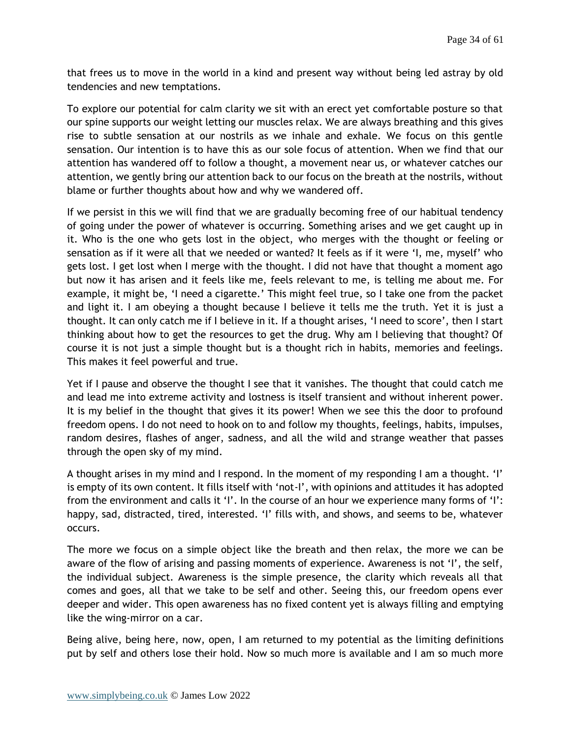that frees us to move in the world in a kind and present way without being led astray by old tendencies and new temptations.

To explore our potential for calm clarity we sit with an erect yet comfortable posture so that our spine supports our weight letting our muscles relax. We are always breathing and this gives rise to subtle sensation at our nostrils as we inhale and exhale. We focus on this gentle sensation. Our intention is to have this as our sole focus of attention. When we find that our attention has wandered off to follow a thought, a movement near us, or whatever catches our attention, we gently bring our attention back to our focus on the breath at the nostrils, without blame or further thoughts about how and why we wandered off.

If we persist in this we will find that we are gradually becoming free of our habitual tendency of going under the power of whatever is occurring. Something arises and we get caught up in it. Who is the one who gets lost in the object, who merges with the thought or feeling or sensation as if it were all that we needed or wanted? It feels as if it were 'I, me, myself' who gets lost. I get lost when I merge with the thought. I did not have that thought a moment ago but now it has arisen and it feels like me, feels relevant to me, is telling me about me. For example, it might be, 'I need a cigarette.' This might feel true, so I take one from the packet and light it. I am obeying a thought because I believe it tells me the truth. Yet it is just a thought. It can only catch me if I believe in it. If a thought arises, 'I need to score', then I start thinking about how to get the resources to get the drug. Why am I believing that thought? Of course it is not just a simple thought but is a thought rich in habits, memories and feelings. This makes it feel powerful and true.

Yet if I pause and observe the thought I see that it vanishes. The thought that could catch me and lead me into extreme activity and lostness is itself transient and without inherent power. It is my belief in the thought that gives it its power! When we see this the door to profound freedom opens. I do not need to hook on to and follow my thoughts, feelings, habits, impulses, random desires, flashes of anger, sadness, and all the wild and strange weather that passes through the open sky of my mind.

A thought arises in my mind and I respond. In the moment of my responding I am a thought. 'I' is empty of its own content. It fills itself with 'not-I', with opinions and attitudes it has adopted from the environment and calls it 'I'. In the course of an hour we experience many forms of 'I': happy, sad, distracted, tired, interested. 'I' fills with, and shows, and seems to be, whatever occurs.

The more we focus on a simple object like the breath and then relax, the more we can be aware of the flow of arising and passing moments of experience. Awareness is not 'I', the self, the individual subject. Awareness is the simple presence, the clarity which reveals all that comes and goes, all that we take to be self and other. Seeing this, our freedom opens ever deeper and wider. This open awareness has no fixed content yet is always filling and emptying like the wing-mirror on a car.

Being alive, being here, now, open, I am returned to my potential as the limiting definitions put by self and others lose their hold. Now so much more is available and I am so much more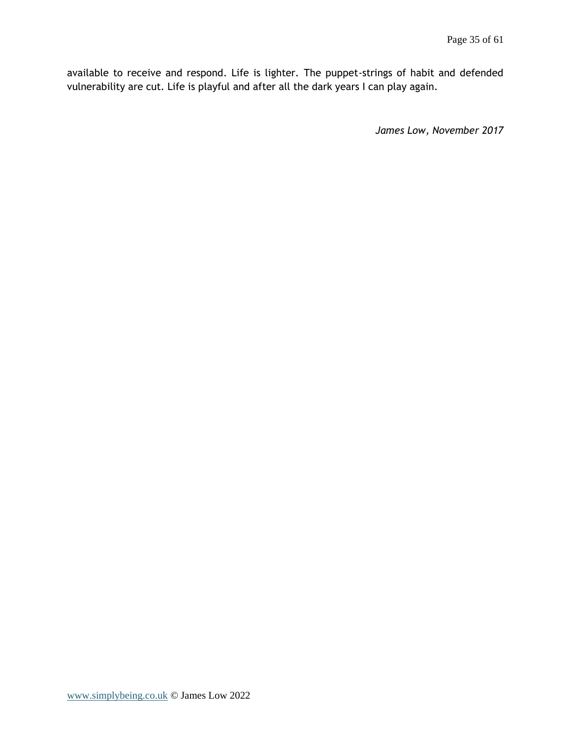available to receive and respond. Life is lighter. The puppet-strings of habit and defended vulnerability are cut. Life is playful and after all the dark years I can play again.

*James Low, November 2017*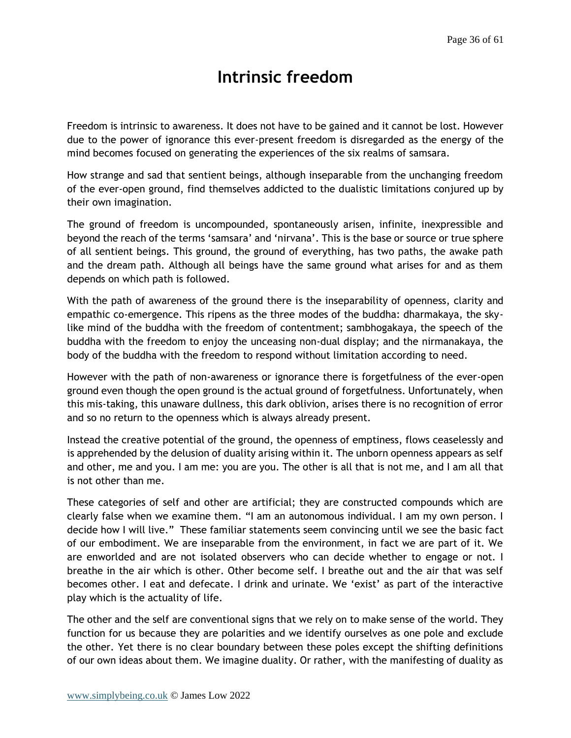# **Intrinsic freedom**

<span id="page-35-0"></span>Freedom is intrinsic to awareness. It does not have to be gained and it cannot be lost. However due to the power of ignorance this ever-present freedom is disregarded as the energy of the mind becomes focused on generating the experiences of the six realms of samsara.

How strange and sad that sentient beings, although inseparable from the unchanging freedom of the ever-open ground, find themselves addicted to the dualistic limitations conjured up by their own imagination.

The ground of freedom is uncompounded, spontaneously arisen, infinite, inexpressible and beyond the reach of the terms 'samsara' and 'nirvana'. This is the base or source or true sphere of all sentient beings. This ground, the ground of everything, has two paths, the awake path and the dream path. Although all beings have the same ground what arises for and as them depends on which path is followed.

With the path of awareness of the ground there is the inseparability of openness, clarity and empathic co-emergence. This ripens as the three modes of the buddha: dharmakaya, the skylike mind of the buddha with the freedom of contentment; sambhogakaya, the speech of the buddha with the freedom to enjoy the unceasing non-dual display; and the nirmanakaya, the body of the buddha with the freedom to respond without limitation according to need.

However with the path of non-awareness or ignorance there is forgetfulness of the ever-open ground even though the open ground is the actual ground of forgetfulness. Unfortunately, when this mis-taking, this unaware dullness, this dark oblivion, arises there is no recognition of error and so no return to the openness which is always already present.

Instead the creative potential of the ground, the openness of emptiness, flows ceaselessly and is apprehended by the delusion of duality arising within it. The unborn openness appears as self and other, me and you. I am me: you are you. The other is all that is not me, and I am all that is not other than me.

These categories of self and other are artificial; they are constructed compounds which are clearly false when we examine them. "I am an autonomous individual. I am my own person. I decide how I will live." These familiar statements seem convincing until we see the basic fact of our embodiment. We are inseparable from the environment, in fact we are part of it. We are enworlded and are not isolated observers who can decide whether to engage or not. I breathe in the air which is other. Other become self. I breathe out and the air that was self becomes other. I eat and defecate. I drink and urinate. We 'exist' as part of the interactive play which is the actuality of life.

The other and the self are conventional signs that we rely on to make sense of the world. They function for us because they are polarities and we identify ourselves as one pole and exclude the other. Yet there is no clear boundary between these poles except the shifting definitions of our own ideas about them. We imagine duality. Or rather, with the manifesting of duality as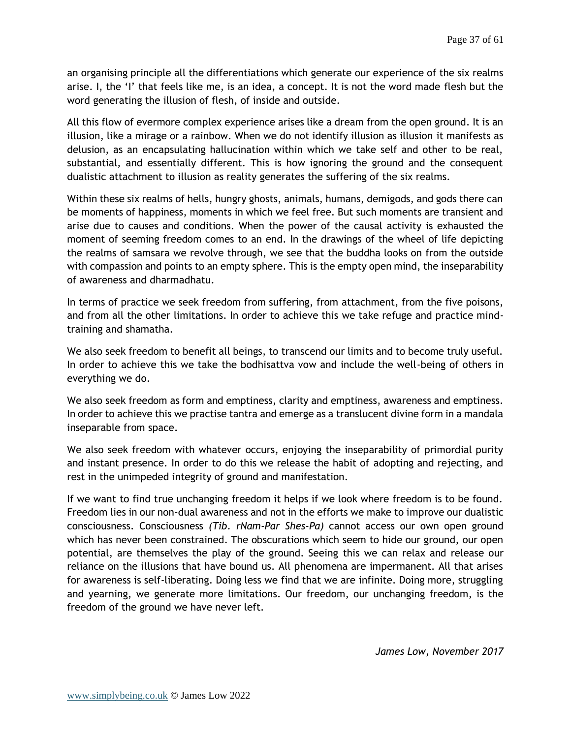an organising principle all the differentiations which generate our experience of the six realms arise. I, the 'I' that feels like me, is an idea, a concept. It is not the word made flesh but the word generating the illusion of flesh, of inside and outside.

All this flow of evermore complex experience arises like a dream from the open ground. It is an illusion, like a mirage or a rainbow. When we do not identify illusion as illusion it manifests as delusion, as an encapsulating hallucination within which we take self and other to be real, substantial, and essentially different. This is how ignoring the ground and the consequent dualistic attachment to illusion as reality generates the suffering of the six realms.

Within these six realms of hells, hungry ghosts, animals, humans, demigods, and gods there can be moments of happiness, moments in which we feel free. But such moments are transient and arise due to causes and conditions. When the power of the causal activity is exhausted the moment of seeming freedom comes to an end. In the drawings of the wheel of life depicting the realms of samsara we revolve through, we see that the buddha looks on from the outside with compassion and points to an empty sphere. This is the empty open mind, the inseparability of awareness and dharmadhatu.

In terms of practice we seek freedom from suffering, from attachment, from the five poisons, and from all the other limitations. In order to achieve this we take refuge and practice mindtraining and shamatha.

We also seek freedom to benefit all beings, to transcend our limits and to become truly useful. In order to achieve this we take the bodhisattva vow and include the well-being of others in everything we do.

We also seek freedom as form and emptiness, clarity and emptiness, awareness and emptiness. In order to achieve this we practise tantra and emerge as a translucent divine form in a mandala inseparable from space.

We also seek freedom with whatever occurs, enjoying the inseparability of primordial purity and instant presence. In order to do this we release the habit of adopting and rejecting, and rest in the unimpeded integrity of ground and manifestation.

If we want to find true unchanging freedom it helps if we look where freedom is to be found. Freedom lies in our non-dual awareness and not in the efforts we make to improve our dualistic consciousness. Consciousness *(Tib. rNam-Par Shes-Pa)* cannot access our own open ground which has never been constrained. The obscurations which seem to hide our ground, our open potential, are themselves the play of the ground. Seeing this we can relax and release our reliance on the illusions that have bound us. All phenomena are impermanent. All that arises for awareness is self-liberating. Doing less we find that we are infinite. Doing more, struggling and yearning, we generate more limitations. Our freedom, our unchanging freedom, is the freedom of the ground we have never left.

*James Low, November 2017*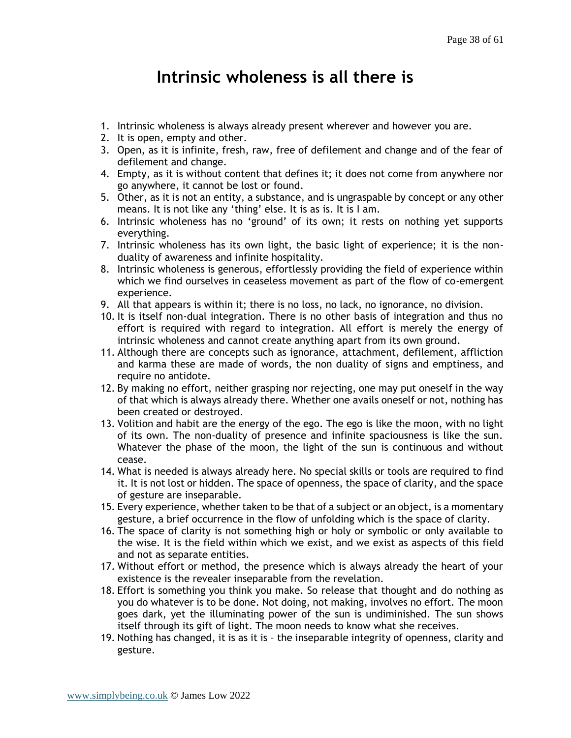## **Intrinsic wholeness is all there is**

- <span id="page-37-0"></span>1. Intrinsic wholeness is always already present wherever and however you are.
- 2. It is open, empty and other.
- 3. Open, as it is infinite, fresh, raw, free of defilement and change and of the fear of defilement and change.
- 4. Empty, as it is without content that defines it; it does not come from anywhere nor go anywhere, it cannot be lost or found.
- 5. Other, as it is not an entity, a substance, and is ungraspable by concept or any other means. It is not like any 'thing' else. It is as is. It is I am.
- 6. Intrinsic wholeness has no 'ground' of its own; it rests on nothing yet supports everything.
- 7. Intrinsic wholeness has its own light, the basic light of experience; it is the nonduality of awareness and infinite hospitality.
- 8. Intrinsic wholeness is generous, effortlessly providing the field of experience within which we find ourselves in ceaseless movement as part of the flow of co-emergent experience.
- 9. All that appears is within it; there is no loss, no lack, no ignorance, no division.
- 10. It is itself non-dual integration. There is no other basis of integration and thus no effort is required with regard to integration. All effort is merely the energy of intrinsic wholeness and cannot create anything apart from its own ground.
- 11. Although there are concepts such as ignorance, attachment, defilement, affliction and karma these are made of words, the non duality of signs and emptiness, and require no antidote.
- 12. By making no effort, neither grasping nor rejecting, one may put oneself in the way of that which is always already there. Whether one avails oneself or not, nothing has been created or destroyed.
- 13. Volition and habit are the energy of the ego. The ego is like the moon, with no light of its own. The non-duality of presence and infinite spaciousness is like the sun. Whatever the phase of the moon, the light of the sun is continuous and without cease.
- 14. What is needed is always already here. No special skills or tools are required to find it. It is not lost or hidden. The space of openness, the space of clarity, and the space of gesture are inseparable.
- 15. Every experience, whether taken to be that of a subject or an object, is a momentary gesture, a brief occurrence in the flow of unfolding which is the space of clarity.
- 16. The space of clarity is not something high or holy or symbolic or only available to the wise. It is the field within which we exist, and we exist as aspects of this field and not as separate entities.
- 17. Without effort or method, the presence which is always already the heart of your existence is the revealer inseparable from the revelation.
- 18. Effort is something you think you make. So release that thought and do nothing as you do whatever is to be done. Not doing, not making, involves no effort. The moon goes dark, yet the illuminating power of the sun is undiminished. The sun shows itself through its gift of light. The moon needs to know what she receives.
- 19. Nothing has changed, it is as it is the inseparable integrity of openness, clarity and gesture.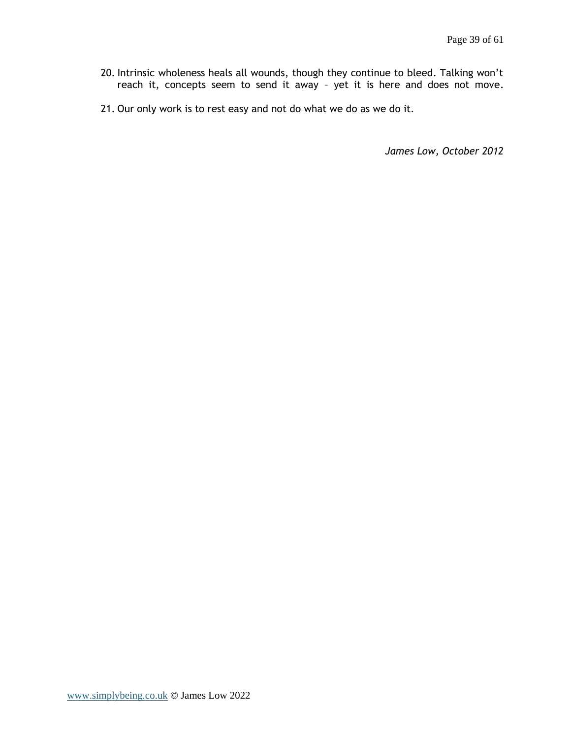- 20. Intrinsic wholeness heals all wounds, though they continue to bleed. Talking won't reach it, concepts seem to send it away – yet it is here and does not move.
- 21. Our only work is to rest easy and not do what we do as we do it.

*James Low, October 2012*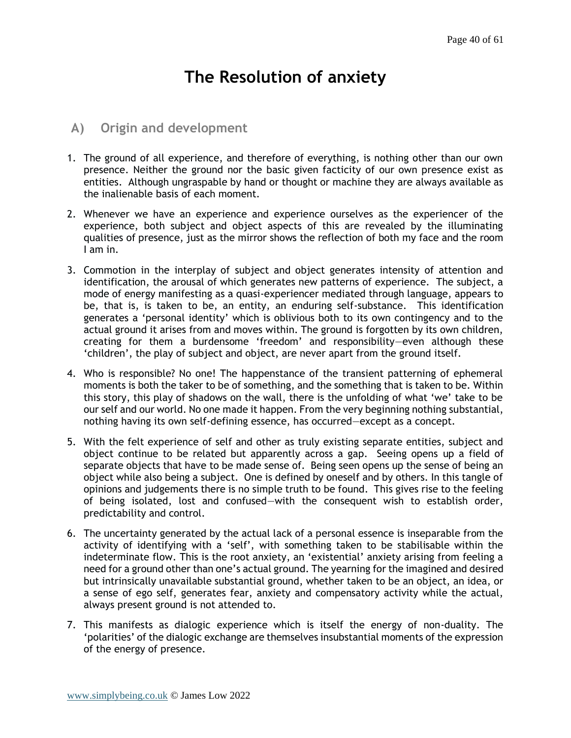# **The Resolution of anxiety**

### <span id="page-39-1"></span><span id="page-39-0"></span>**A) Origin and development**

- 1. The ground of all experience, and therefore of everything, is nothing other than our own presence. Neither the ground nor the basic given facticity of our own presence exist as entities. Although ungraspable by hand or thought or machine they are always available as the inalienable basis of each moment.
- 2. Whenever we have an experience and experience ourselves as the experiencer of the experience, both subject and object aspects of this are revealed by the illuminating qualities of presence, just as the mirror shows the reflection of both my face and the room I am in.
- 3. Commotion in the interplay of subject and object generates intensity of attention and identification, the arousal of which generates new patterns of experience. The subject, a mode of energy manifesting as a quasi-experiencer mediated through language, appears to be, that is, is taken to be, an entity, an enduring self-substance. This identification generates a 'personal identity' which is oblivious both to its own contingency and to the actual ground it arises from and moves within. The ground is forgotten by its own children, creating for them a burdensome 'freedom' and responsibility—even although these 'children', the play of subject and object, are never apart from the ground itself.
- 4. Who is responsible? No one! The happenstance of the transient patterning of ephemeral moments is both the taker to be of something, and the something that is taken to be. Within this story, this play of shadows on the wall, there is the unfolding of what 'we' take to be our self and our world. No one made it happen. From the very beginning nothing substantial, nothing having its own self-defining essence, has occurred—except as a concept.
- 5. With the felt experience of self and other as truly existing separate entities, subject and object continue to be related but apparently across a gap. Seeing opens up a field of separate objects that have to be made sense of. Being seen opens up the sense of being an object while also being a subject. One is defined by oneself and by others. In this tangle of opinions and judgements there is no simple truth to be found. This gives rise to the feeling of being isolated, lost and confused—with the consequent wish to establish order, predictability and control.
- 6. The uncertainty generated by the actual lack of a personal essence is inseparable from the activity of identifying with a 'self', with something taken to be stabilisable within the indeterminate flow. This is the root anxiety, an 'existential' anxiety arising from feeling a need for a ground other than one's actual ground. The yearning for the imagined and desired but intrinsically unavailable substantial ground, whether taken to be an object, an idea, or a sense of ego self, generates fear, anxiety and compensatory activity while the actual, always present ground is not attended to.
- 7. This manifests as dialogic experience which is itself the energy of non-duality. The 'polarities' of the dialogic exchange are themselves insubstantial moments of the expression of the energy of presence.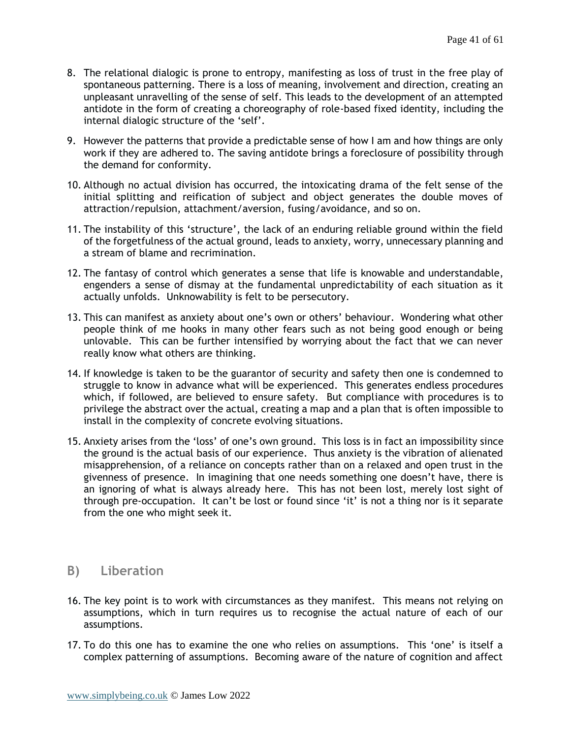- 8. The relational dialogic is prone to entropy, manifesting as loss of trust in the free play of spontaneous patterning. There is a loss of meaning, involvement and direction, creating an unpleasant unravelling of the sense of self. This leads to the development of an attempted antidote in the form of creating a choreography of role-based fixed identity, including the internal dialogic structure of the 'self'.
- 9. However the patterns that provide a predictable sense of how I am and how things are only work if they are adhered to. The saving antidote brings a foreclosure of possibility through the demand for conformity.
- 10. Although no actual division has occurred, the intoxicating drama of the felt sense of the initial splitting and reification of subject and object generates the double moves of attraction/repulsion, attachment/aversion, fusing/avoidance, and so on.
- 11. The instability of this 'structure', the lack of an enduring reliable ground within the field of the forgetfulness of the actual ground, leads to anxiety, worry, unnecessary planning and a stream of blame and recrimination.
- 12. The fantasy of control which generates a sense that life is knowable and understandable, engenders a sense of dismay at the fundamental unpredictability of each situation as it actually unfolds. Unknowability is felt to be persecutory.
- 13. This can manifest as anxiety about one's own or others' behaviour. Wondering what other people think of me hooks in many other fears such as not being good enough or being unlovable. This can be further intensified by worrying about the fact that we can never really know what others are thinking.
- 14. If knowledge is taken to be the guarantor of security and safety then one is condemned to struggle to know in advance what will be experienced. This generates endless procedures which, if followed, are believed to ensure safety. But compliance with procedures is to privilege the abstract over the actual, creating a map and a plan that is often impossible to install in the complexity of concrete evolving situations.
- 15. Anxiety arises from the 'loss' of one's own ground. This loss is in fact an impossibility since the ground is the actual basis of our experience. Thus anxiety is the vibration of alienated misapprehension, of a reliance on concepts rather than on a relaxed and open trust in the givenness of presence. In imagining that one needs something one doesn't have, there is an ignoring of what is always already here. This has not been lost, merely lost sight of through pre-occupation. It can't be lost or found since 'it' is not a thing nor is it separate from the one who might seek it.

## <span id="page-40-0"></span>**B) Liberation**

- 16. The key point is to work with circumstances as they manifest. This means not relying on assumptions, which in turn requires us to recognise the actual nature of each of our assumptions.
- 17. To do this one has to examine the one who relies on assumptions. This 'one' is itself a complex patterning of assumptions. Becoming aware of the nature of cognition and affect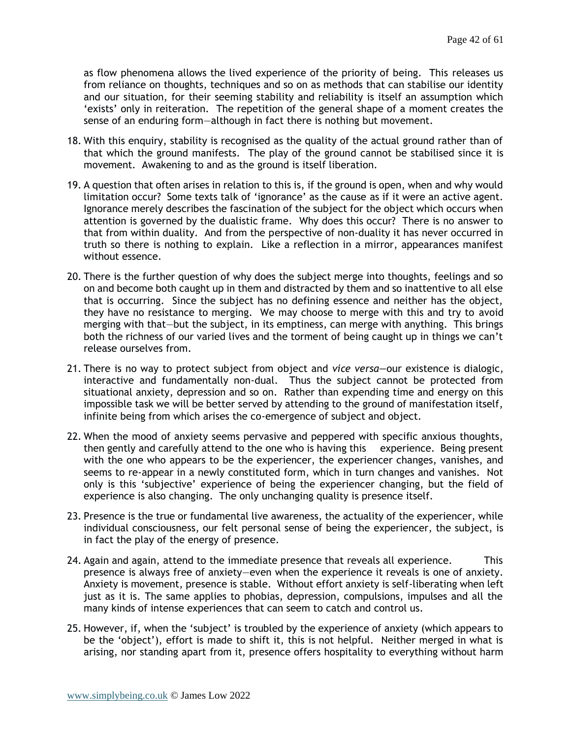as flow phenomena allows the lived experience of the priority of being. This releases us from reliance on thoughts, techniques and so on as methods that can stabilise our identity and our situation, for their seeming stability and reliability is itself an assumption which 'exists' only in reiteration. The repetition of the general shape of a moment creates the sense of an enduring form—although in fact there is nothing but movement.

- 18. With this enquiry, stability is recognised as the quality of the actual ground rather than of that which the ground manifests. The play of the ground cannot be stabilised since it is movement. Awakening to and as the ground is itself liberation.
- 19. A question that often arises in relation to this is, if the ground is open, when and why would limitation occur? Some texts talk of 'ignorance' as the cause as if it were an active agent. Ignorance merely describes the fascination of the subject for the object which occurs when attention is governed by the dualistic frame. Why does this occur? There is no answer to that from within duality. And from the perspective of non-duality it has never occurred in truth so there is nothing to explain. Like a reflection in a mirror, appearances manifest without essence.
- 20. There is the further question of why does the subject merge into thoughts, feelings and so on and become both caught up in them and distracted by them and so inattentive to all else that is occurring. Since the subject has no defining essence and neither has the object, they have no resistance to merging. We may choose to merge with this and try to avoid merging with that—but the subject, in its emptiness, can merge with anything. This brings both the richness of our varied lives and the torment of being caught up in things we can't release ourselves from.
- 21. There is no way to protect subject from object and *vice versa—*our existence is dialogic, interactive and fundamentally non-dual. Thus the subject cannot be protected from situational anxiety, depression and so on. Rather than expending time and energy on this impossible task we will be better served by attending to the ground of manifestation itself, infinite being from which arises the co-emergence of subject and object.
- 22. When the mood of anxiety seems pervasive and peppered with specific anxious thoughts, then gently and carefully attend to the one who is having this experience. Being present with the one who appears to be the experiencer, the experiencer changes, vanishes, and seems to re-appear in a newly constituted form, which in turn changes and vanishes. Not only is this 'subjective' experience of being the experiencer changing, but the field of experience is also changing. The only unchanging quality is presence itself.
- 23. Presence is the true or fundamental live awareness, the actuality of the experiencer, while individual consciousness, our felt personal sense of being the experiencer, the subject, is in fact the play of the energy of presence.
- 24. Again and again, attend to the immediate presence that reveals all experience. This presence is always free of anxiety—even when the experience it reveals is one of anxiety. Anxiety is movement, presence is stable. Without effort anxiety is self-liberating when left just as it is. The same applies to phobias, depression, compulsions, impulses and all the many kinds of intense experiences that can seem to catch and control us.
- 25. However, if, when the 'subject' is troubled by the experience of anxiety (which appears to be the 'object'), effort is made to shift it, this is not helpful. Neither merged in what is arising, nor standing apart from it, presence offers hospitality to everything without harm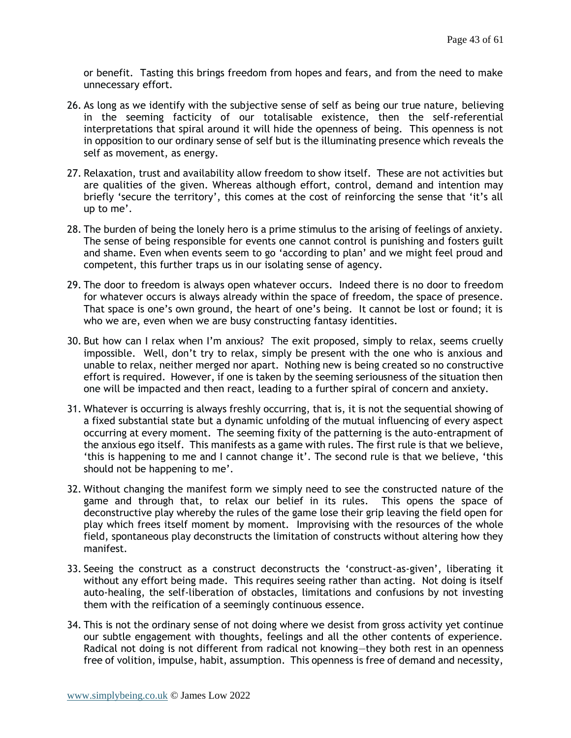or benefit. Tasting this brings freedom from hopes and fears, and from the need to make unnecessary effort.

- 26. As long as we identify with the subjective sense of self as being our true nature, believing in the seeming facticity of our totalisable existence, then the self-referential interpretations that spiral around it will hide the openness of being. This openness is not in opposition to our ordinary sense of self but is the illuminating presence which reveals the self as movement, as energy.
- 27. Relaxation, trust and availability allow freedom to show itself. These are not activities but are qualities of the given. Whereas although effort, control, demand and intention may briefly 'secure the territory', this comes at the cost of reinforcing the sense that 'it's all up to me'.
- 28. The burden of being the lonely hero is a prime stimulus to the arising of feelings of anxiety. The sense of being responsible for events one cannot control is punishing and fosters guilt and shame. Even when events seem to go 'according to plan' and we might feel proud and competent, this further traps us in our isolating sense of agency.
- 29. The door to freedom is always open whatever occurs. Indeed there is no door to freedom for whatever occurs is always already within the space of freedom, the space of presence. That space is one's own ground, the heart of one's being. It cannot be lost or found; it is who we are, even when we are busy constructing fantasy identities.
- 30. But how can I relax when I'm anxious? The exit proposed, simply to relax, seems cruelly impossible. Well, don't try to relax, simply be present with the one who is anxious and unable to relax, neither merged nor apart. Nothing new is being created so no constructive effort is required. However, if one is taken by the seeming seriousness of the situation then one will be impacted and then react, leading to a further spiral of concern and anxiety.
- 31. Whatever is occurring is always freshly occurring, that is, it is not the sequential showing of a fixed substantial state but a dynamic unfolding of the mutual influencing of every aspect occurring at every moment. The seeming fixity of the patterning is the auto-entrapment of the anxious ego itself. This manifests as a game with rules. The first rule is that we believe, 'this is happening to me and I cannot change it'. The second rule is that we believe, 'this should not be happening to me'.
- 32. Without changing the manifest form we simply need to see the constructed nature of the game and through that, to relax our belief in its rules. This opens the space of deconstructive play whereby the rules of the game lose their grip leaving the field open for play which frees itself moment by moment. Improvising with the resources of the whole field, spontaneous play deconstructs the limitation of constructs without altering how they manifest.
- 33. Seeing the construct as a construct deconstructs the 'construct-as-given', liberating it without any effort being made. This requires seeing rather than acting. Not doing is itself auto-healing, the self-liberation of obstacles, limitations and confusions by not investing them with the reification of a seemingly continuous essence.
- 34. This is not the ordinary sense of not doing where we desist from gross activity yet continue our subtle engagement with thoughts, feelings and all the other contents of experience. Radical not doing is not different from radical not knowing—they both rest in an openness free of volition, impulse, habit, assumption. This openness is free of demand and necessity,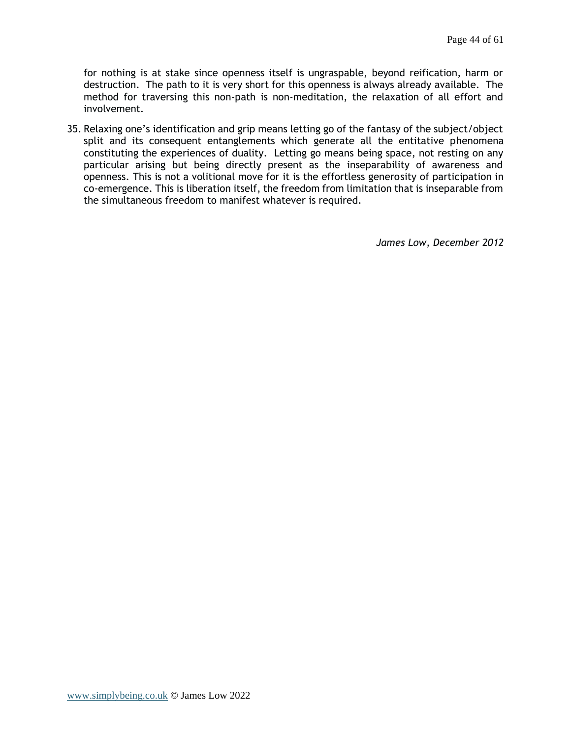for nothing is at stake since openness itself is ungraspable, beyond reification, harm or destruction. The path to it is very short for this openness is always already available. The method for traversing this non-path is non-meditation, the relaxation of all effort and involvement.

35. Relaxing one's identification and grip means letting go of the fantasy of the subject/object split and its consequent entanglements which generate all the entitative phenomena constituting the experiences of duality. Letting go means being space, not resting on any particular arising but being directly present as the inseparability of awareness and openness. This is not a volitional move for it is the effortless generosity of participation in co-emergence. This is liberation itself, the freedom from limitation that is inseparable from the simultaneous freedom to manifest whatever is required.

*James Low, December 2012*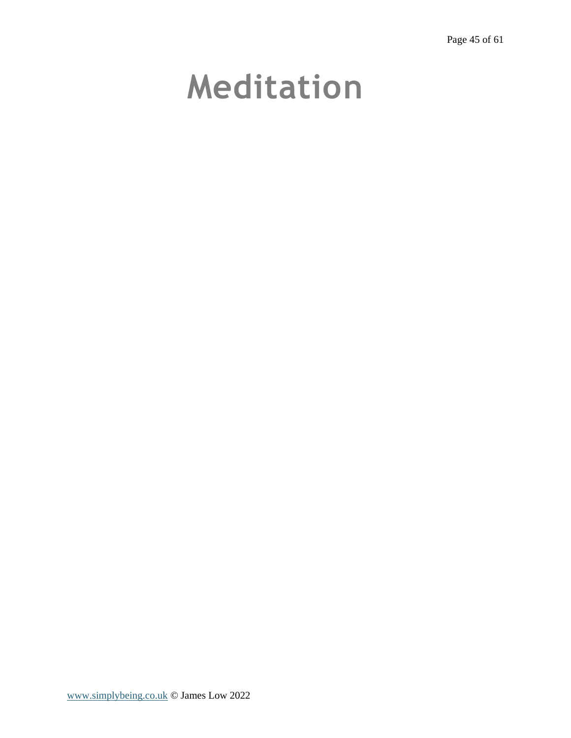# <span id="page-44-0"></span>**Meditation**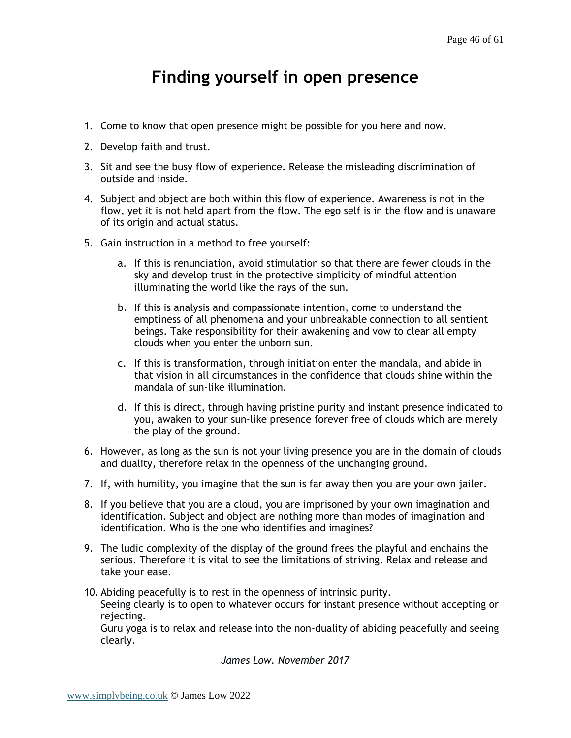# **Finding yourself in open presence**

- <span id="page-45-0"></span>1. Come to know that open presence might be possible for you here and now.
- 2. Develop faith and trust.
- 3. Sit and see the busy flow of experience. Release the misleading discrimination of outside and inside.
- 4. Subject and object are both within this flow of experience. Awareness is not in the flow, yet it is not held apart from the flow. The ego self is in the flow and is unaware of its origin and actual status.
- 5. Gain instruction in a method to free yourself:
	- a. If this is renunciation, avoid stimulation so that there are fewer clouds in the sky and develop trust in the protective simplicity of mindful attention illuminating the world like the rays of the sun.
	- b. If this is analysis and compassionate intention, come to understand the emptiness of all phenomena and your unbreakable connection to all sentient beings. Take responsibility for their awakening and vow to clear all empty clouds when you enter the unborn sun.
	- c. If this is transformation, through initiation enter the mandala, and abide in that vision in all circumstances in the confidence that clouds shine within the mandala of sun-like illumination.
	- d. If this is direct, through having pristine purity and instant presence indicated to you, awaken to your sun-like presence forever free of clouds which are merely the play of the ground.
- 6. However, as long as the sun is not your living presence you are in the domain of clouds and duality, therefore relax in the openness of the unchanging ground.
- 7. If, with humility, you imagine that the sun is far away then you are your own jailer.
- 8. If you believe that you are a cloud, you are imprisoned by your own imagination and identification. Subject and object are nothing more than modes of imagination and identification. Who is the one who identifies and imagines?
- 9. The ludic complexity of the display of the ground frees the playful and enchains the serious. Therefore it is vital to see the limitations of striving. Relax and release and take your ease.
- 10. Abiding peacefully is to rest in the openness of intrinsic purity. Seeing clearly is to open to whatever occurs for instant presence without accepting or rejecting. Guru yoga is to relax and release into the non-duality of abiding peacefully and seeing

clearly.

*James Low. November 2017*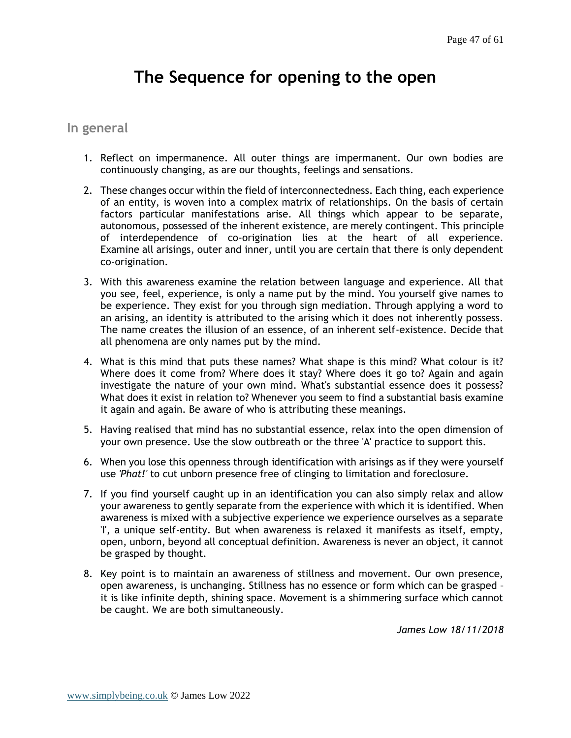# **The Sequence for opening to the open**

#### <span id="page-46-1"></span><span id="page-46-0"></span>**In general**

- 1. Reflect on impermanence. All outer things are impermanent. Our own bodies are continuously changing, as are our thoughts, feelings and sensations.
- 2. These changes occur within the field of interconnectedness. Each thing, each experience of an entity, is woven into a complex matrix of relationships. On the basis of certain factors particular manifestations arise. All things which appear to be separate, autonomous, possessed of the inherent existence, are merely contingent. This principle of interdependence of co-origination lies at the heart of all experience. Examine all arisings, outer and inner, until you are certain that there is only dependent co-origination.
- 3. With this awareness examine the relation between language and experience. All that you see, feel, experience, is only a name put by the mind. You yourself give names to be experience. They exist for you through sign mediation. Through applying a word to an arising, an identity is attributed to the arising which it does not inherently possess. The name creates the illusion of an essence, of an inherent self-existence. Decide that all phenomena are only names put by the mind.
- 4. What is this mind that puts these names? What shape is this mind? What colour is it? Where does it come from? Where does it stay? Where does it go to? Again and again investigate the nature of your own mind. What's substantial essence does it possess? What does it exist in relation to? Whenever you seem to find a substantial basis examine it again and again. Be aware of who is attributing these meanings.
- 5. Having realised that mind has no substantial essence, relax into the open dimension of your own presence. Use the slow outbreath or the three 'A' practice to support this.
- 6. When you lose this openness through identification with arisings as if they were yourself use *'Phat!'* to cut unborn presence free of clinging to limitation and foreclosure.
- 7. If you find yourself caught up in an identification you can also simply relax and allow your awareness to gently separate from the experience with which it is identified. When awareness is mixed with a subjective experience we experience ourselves as a separate 'I', a unique self-entity. But when awareness is relaxed it manifests as itself, empty, open, unborn, beyond all conceptual definition. Awareness is never an object, it cannot be grasped by thought.
- 8. Key point is to maintain an awareness of stillness and movement. Our own presence, open awareness, is unchanging. Stillness has no essence or form which can be grasped – it is like infinite depth, shining space. Movement is a shimmering surface which cannot be caught. We are both simultaneously.

*James Low 18/11/2018*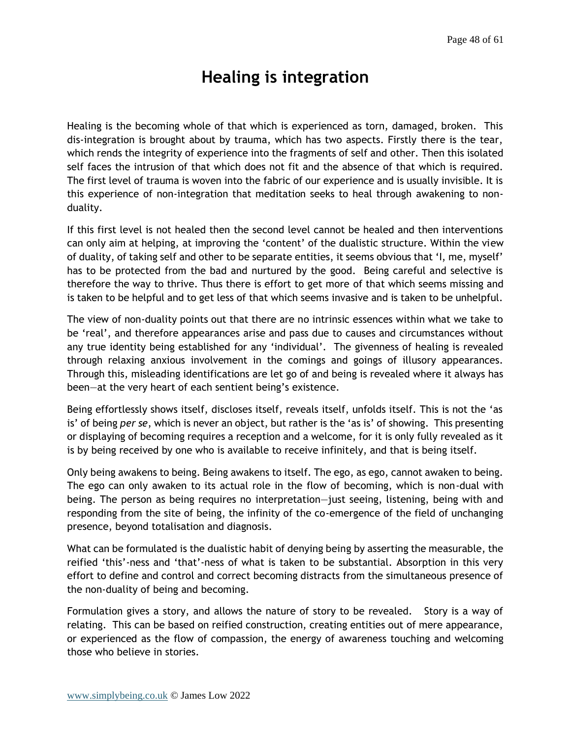## **Healing is integration**

<span id="page-47-0"></span>Healing is the becoming whole of that which is experienced as torn, damaged, broken. This dis-integration is brought about by trauma, which has two aspects. Firstly there is the tear, which rends the integrity of experience into the fragments of self and other. Then this isolated self faces the intrusion of that which does not fit and the absence of that which is required. The first level of trauma is woven into the fabric of our experience and is usually invisible. It is this experience of non-integration that meditation seeks to heal through awakening to nonduality.

If this first level is not healed then the second level cannot be healed and then interventions can only aim at helping, at improving the 'content' of the dualistic structure. Within the view of duality, of taking self and other to be separate entities, it seems obvious that 'I, me, myself' has to be protected from the bad and nurtured by the good. Being careful and selective is therefore the way to thrive. Thus there is effort to get more of that which seems missing and is taken to be helpful and to get less of that which seems invasive and is taken to be unhelpful.

The view of non-duality points out that there are no intrinsic essences within what we take to be 'real', and therefore appearances arise and pass due to causes and circumstances without any true identity being established for any 'individual'. The givenness of healing is revealed through relaxing anxious involvement in the comings and goings of illusory appearances. Through this, misleading identifications are let go of and being is revealed where it always has been—at the very heart of each sentient being's existence.

Being effortlessly shows itself, discloses itself, reveals itself, unfolds itself. This is not the 'as is' of being *per se*, which is never an object, but rather is the 'as is' of showing. This presenting or displaying of becoming requires a reception and a welcome, for it is only fully revealed as it is by being received by one who is available to receive infinitely, and that is being itself.

Only being awakens to being. Being awakens to itself. The ego, as ego, cannot awaken to being. The ego can only awaken to its actual role in the flow of becoming, which is non-dual with being. The person as being requires no interpretation—just seeing, listening, being with and responding from the site of being, the infinity of the co-emergence of the field of unchanging presence, beyond totalisation and diagnosis.

What can be formulated is the dualistic habit of denying being by asserting the measurable, the reified 'this'-ness and 'that'-ness of what is taken to be substantial. Absorption in this very effort to define and control and correct becoming distracts from the simultaneous presence of the non-duality of being and becoming.

Formulation gives a story, and allows the nature of story to be revealed. Story is a way of relating. This can be based on reified construction, creating entities out of mere appearance, or experienced as the flow of compassion, the energy of awareness touching and welcoming those who believe in stories.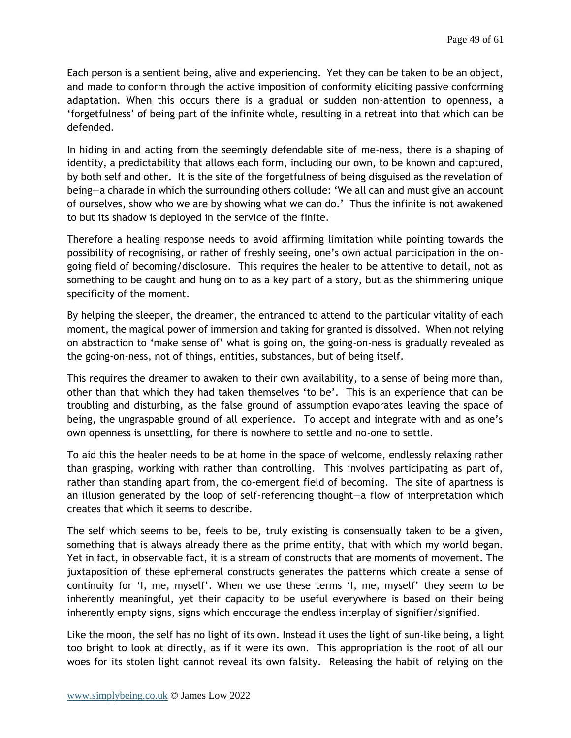Each person is a sentient being, alive and experiencing. Yet they can be taken to be an object, and made to conform through the active imposition of conformity eliciting passive conforming adaptation. When this occurs there is a gradual or sudden non-attention to openness, a 'forgetfulness' of being part of the infinite whole, resulting in a retreat into that which can be defended.

In hiding in and acting from the seemingly defendable site of me-ness, there is a shaping of identity, a predictability that allows each form, including our own, to be known and captured, by both self and other. It is the site of the forgetfulness of being disguised as the revelation of being—a charade in which the surrounding others collude: 'We all can and must give an account of ourselves, show who we are by showing what we can do.' Thus the infinite is not awakened to but its shadow is deployed in the service of the finite.

Therefore a healing response needs to avoid affirming limitation while pointing towards the possibility of recognising, or rather of freshly seeing, one's own actual participation in the ongoing field of becoming/disclosure. This requires the healer to be attentive to detail, not as something to be caught and hung on to as a key part of a story, but as the shimmering unique specificity of the moment.

By helping the sleeper, the dreamer, the entranced to attend to the particular vitality of each moment, the magical power of immersion and taking for granted is dissolved. When not relying on abstraction to 'make sense of' what is going on, the going-on-ness is gradually revealed as the going-on-ness, not of things, entities, substances, but of being itself.

This requires the dreamer to awaken to their own availability, to a sense of being more than, other than that which they had taken themselves 'to be'. This is an experience that can be troubling and disturbing, as the false ground of assumption evaporates leaving the space of being, the ungraspable ground of all experience. To accept and integrate with and as one's own openness is unsettling, for there is nowhere to settle and no-one to settle.

To aid this the healer needs to be at home in the space of welcome, endlessly relaxing rather than grasping, working with rather than controlling. This involves participating as part of, rather than standing apart from, the co-emergent field of becoming. The site of apartness is an illusion generated by the loop of self-referencing thought—a flow of interpretation which creates that which it seems to describe.

The self which seems to be, feels to be, truly existing is consensually taken to be a given, something that is always already there as the prime entity, that with which my world began. Yet in fact, in observable fact, it is a stream of constructs that are moments of movement. The juxtaposition of these ephemeral constructs generates the patterns which create a sense of continuity for 'I, me, myself'. When we use these terms 'I, me, myself' they seem to be inherently meaningful, yet their capacity to be useful everywhere is based on their being inherently empty signs, signs which encourage the endless interplay of signifier/signified.

Like the moon, the self has no light of its own. Instead it uses the light of sun-like being, a light too bright to look at directly, as if it were its own. This appropriation is the root of all our woes for its stolen light cannot reveal its own falsity. Releasing the habit of relying on the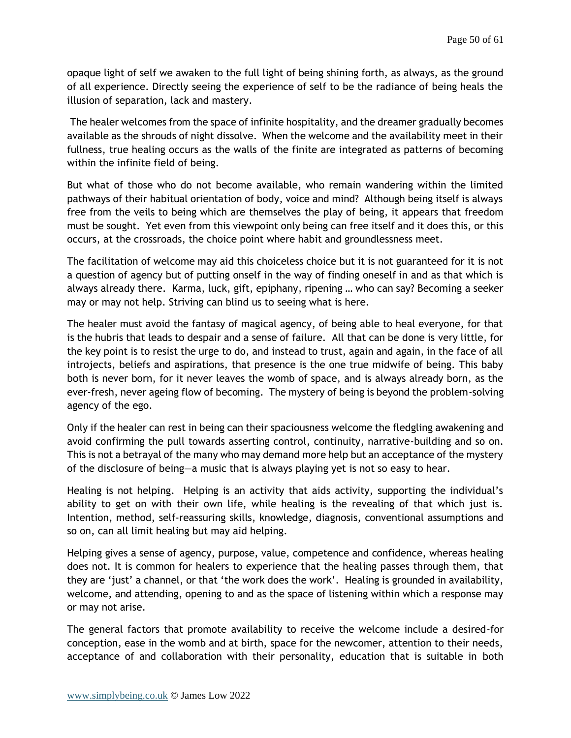opaque light of self we awaken to the full light of being shining forth, as always, as the ground of all experience. Directly seeing the experience of self to be the radiance of being heals the illusion of separation, lack and mastery.

The healer welcomes from the space of infinite hospitality, and the dreamer gradually becomes available as the shrouds of night dissolve. When the welcome and the availability meet in their fullness, true healing occurs as the walls of the finite are integrated as patterns of becoming within the infinite field of being.

But what of those who do not become available, who remain wandering within the limited pathways of their habitual orientation of body, voice and mind? Although being itself is always free from the veils to being which are themselves the play of being, it appears that freedom must be sought. Yet even from this viewpoint only being can free itself and it does this, or this occurs, at the crossroads, the choice point where habit and groundlessness meet.

The facilitation of welcome may aid this choiceless choice but it is not guaranteed for it is not a question of agency but of putting onself in the way of finding oneself in and as that which is always already there. Karma, luck, gift, epiphany, ripening … who can say? Becoming a seeker may or may not help. Striving can blind us to seeing what is here.

The healer must avoid the fantasy of magical agency, of being able to heal everyone, for that is the hubris that leads to despair and a sense of failure. All that can be done is very little, for the key point is to resist the urge to do, and instead to trust, again and again, in the face of all introjects, beliefs and aspirations, that presence is the one true midwife of being. This baby both is never born, for it never leaves the womb of space, and is always already born, as the ever-fresh, never ageing flow of becoming. The mystery of being is beyond the problem-solving agency of the ego.

Only if the healer can rest in being can their spaciousness welcome the fledgling awakening and avoid confirming the pull towards asserting control, continuity, narrative-building and so on. This is not a betrayal of the many who may demand more help but an acceptance of the mystery of the disclosure of being—a music that is always playing yet is not so easy to hear.

Healing is not helping. Helping is an activity that aids activity, supporting the individual's ability to get on with their own life, while healing is the revealing of that which just is. Intention, method, self-reassuring skills, knowledge, diagnosis, conventional assumptions and so on, can all limit healing but may aid helping.

Helping gives a sense of agency, purpose, value, competence and confidence, whereas healing does not. It is common for healers to experience that the healing passes through them, that they are 'just' a channel, or that 'the work does the work'. Healing is grounded in availability, welcome, and attending, opening to and as the space of listening within which a response may or may not arise.

The general factors that promote availability to receive the welcome include a desired-for conception, ease in the womb and at birth, space for the newcomer, attention to their needs, acceptance of and collaboration with their personality, education that is suitable in both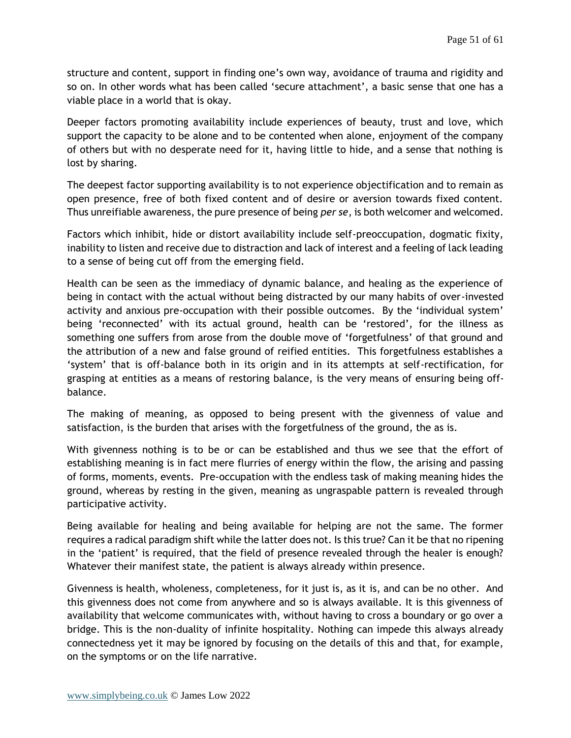structure and content, support in finding one's own way, avoidance of trauma and rigidity and so on. In other words what has been called 'secure attachment', a basic sense that one has a viable place in a world that is okay.

Deeper factors promoting availability include experiences of beauty, trust and love, which support the capacity to be alone and to be contented when alone, enjoyment of the company of others but with no desperate need for it, having little to hide, and a sense that nothing is lost by sharing.

The deepest factor supporting availability is to not experience objectification and to remain as open presence, free of both fixed content and of desire or aversion towards fixed content. Thus unreifiable awareness, the pure presence of being *per se*, is both welcomer and welcomed.

Factors which inhibit, hide or distort availability include self-preoccupation, dogmatic fixity, inability to listen and receive due to distraction and lack of interest and a feeling of lack leading to a sense of being cut off from the emerging field.

Health can be seen as the immediacy of dynamic balance, and healing as the experience of being in contact with the actual without being distracted by our many habits of over-invested activity and anxious pre-occupation with their possible outcomes. By the 'individual system' being 'reconnected' with its actual ground, health can be 'restored', for the illness as something one suffers from arose from the double move of 'forgetfulness' of that ground and the attribution of a new and false ground of reified entities. This forgetfulness establishes a 'system' that is off-balance both in its origin and in its attempts at self-rectification, for grasping at entities as a means of restoring balance, is the very means of ensuring being offbalance.

The making of meaning, as opposed to being present with the givenness of value and satisfaction, is the burden that arises with the forgetfulness of the ground, the as is.

With givenness nothing is to be or can be established and thus we see that the effort of establishing meaning is in fact mere flurries of energy within the flow, the arising and passing of forms, moments, events. Pre-occupation with the endless task of making meaning hides the ground, whereas by resting in the given, meaning as ungraspable pattern is revealed through participative activity.

Being available for healing and being available for helping are not the same. The former requires a radical paradigm shift while the latter does not. Is this true? Can it be that no ripening in the 'patient' is required, that the field of presence revealed through the healer is enough? Whatever their manifest state, the patient is always already within presence.

Givenness is health, wholeness, completeness, for it just is, as it is, and can be no other. And this givenness does not come from anywhere and so is always available. It is this givenness of availability that welcome communicates with, without having to cross a boundary or go over a bridge. This is the non-duality of infinite hospitality. Nothing can impede this always already connectedness yet it may be ignored by focusing on the details of this and that, for example, on the symptoms or on the life narrative.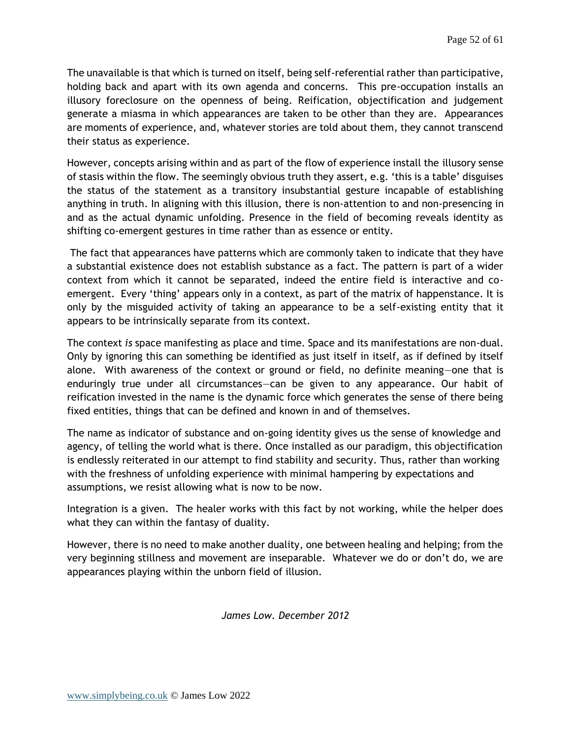The unavailable is that which is turned on itself, being self-referential rather than participative, holding back and apart with its own agenda and concerns. This pre-occupation installs an illusory foreclosure on the openness of being. Reification, objectification and judgement generate a miasma in which appearances are taken to be other than they are. Appearances are moments of experience, and, whatever stories are told about them, they cannot transcend their status as experience.

However, concepts arising within and as part of the flow of experience install the illusory sense of stasis within the flow. The seemingly obvious truth they assert, e.g. 'this is a table' disguises the status of the statement as a transitory insubstantial gesture incapable of establishing anything in truth. In aligning with this illusion, there is non-attention to and non-presencing in and as the actual dynamic unfolding. Presence in the field of becoming reveals identity as shifting co-emergent gestures in time rather than as essence or entity.

The fact that appearances have patterns which are commonly taken to indicate that they have a substantial existence does not establish substance as a fact. The pattern is part of a wider context from which it cannot be separated, indeed the entire field is interactive and coemergent. Every 'thing' appears only in a context, as part of the matrix of happenstance. It is only by the misguided activity of taking an appearance to be a self-existing entity that it appears to be intrinsically separate from its context.

The context *is* space manifesting as place and time. Space and its manifestations are non-dual. Only by ignoring this can something be identified as just itself in itself, as if defined by itself alone. With awareness of the context or ground or field, no definite meaning—one that is enduringly true under all circumstances—can be given to any appearance. Our habit of reification invested in the name is the dynamic force which generates the sense of there being fixed entities, things that can be defined and known in and of themselves.

The name as indicator of substance and on-going identity gives us the sense of knowledge and agency, of telling the world what is there. Once installed as our paradigm, this objectification is endlessly reiterated in our attempt to find stability and security. Thus, rather than working with the freshness of unfolding experience with minimal hampering by expectations and assumptions, we resist allowing what is now to be now.

Integration is a given. The healer works with this fact by not working, while the helper does what they can within the fantasy of duality.

However, there is no need to make another duality, one between healing and helping; from the very beginning stillness and movement are inseparable. Whatever we do or don't do, we are appearances playing within the unborn field of illusion.

*James Low. December 2012*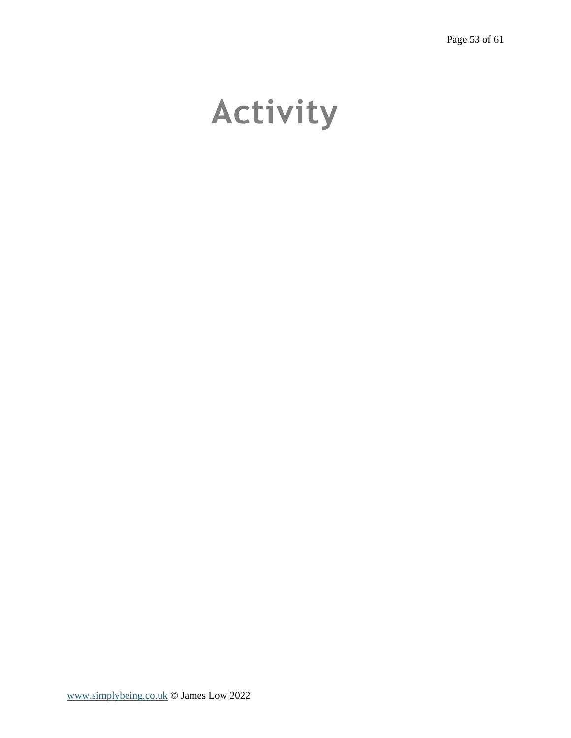# <span id="page-52-0"></span>**Activity**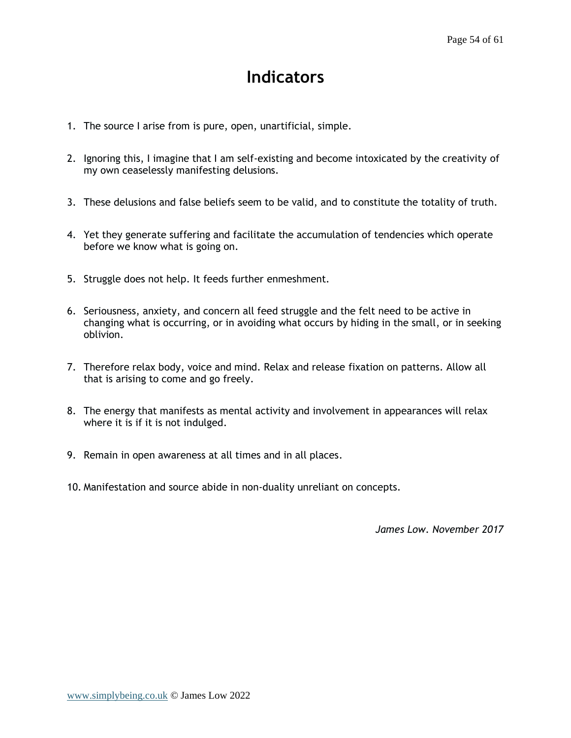## **Indicators**

- <span id="page-53-0"></span>1. The source I arise from is pure, open, unartificial, simple.
- 2. Ignoring this, I imagine that I am self-existing and become intoxicated by the creativity of my own ceaselessly manifesting delusions.
- 3. These delusions and false beliefs seem to be valid, and to constitute the totality of truth.
- 4. Yet they generate suffering and facilitate the accumulation of tendencies which operate before we know what is going on.
- 5. Struggle does not help. It feeds further enmeshment.
- 6. Seriousness, anxiety, and concern all feed struggle and the felt need to be active in changing what is occurring, or in avoiding what occurs by hiding in the small, or in seeking oblivion.
- 7. Therefore relax body, voice and mind. Relax and release fixation on patterns. Allow all that is arising to come and go freely.
- 8. The energy that manifests as mental activity and involvement in appearances will relax where it is if it is not indulged.
- 9. Remain in open awareness at all times and in all places.
- 10. Manifestation and source abide in non-duality unreliant on concepts.

*James Low. November 2017*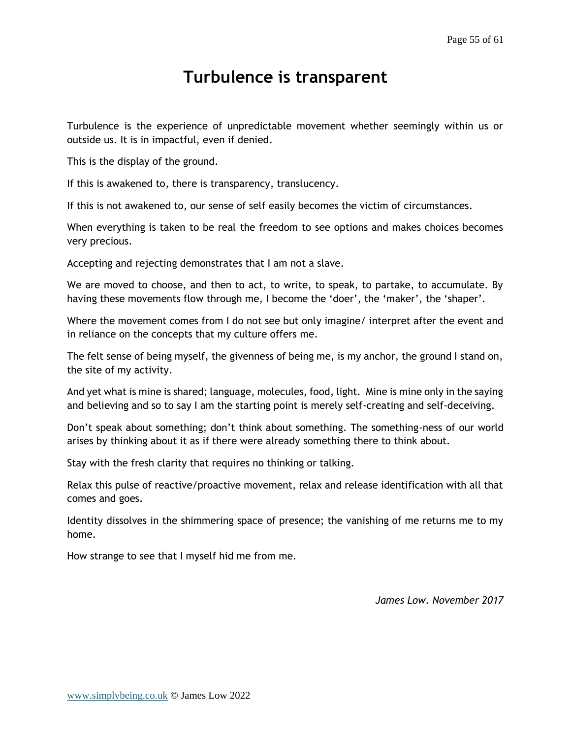## **Turbulence is transparent**

<span id="page-54-0"></span>Turbulence is the experience of unpredictable movement whether seemingly within us or outside us. It is in impactful, even if denied.

This is the display of the ground.

If this is awakened to, there is transparency, translucency.

If this is not awakened to, our sense of self easily becomes the victim of circumstances.

When everything is taken to be real the freedom to see options and makes choices becomes very precious.

Accepting and rejecting demonstrates that I am not a slave.

We are moved to choose, and then to act, to write, to speak, to partake, to accumulate. By having these movements flow through me, I become the 'doer', the 'maker', the 'shaper'.

Where the movement comes from I do not see but only imagine/ interpret after the event and in reliance on the concepts that my culture offers me.

The felt sense of being myself, the givenness of being me, is my anchor, the ground I stand on, the site of my activity.

And yet what is mine is shared; language, molecules, food, light. Mine is mine only in the saying and believing and so to say I am the starting point is merely self-creating and self-deceiving.

Don't speak about something; don't think about something. The something-ness of our world arises by thinking about it as if there were already something there to think about.

Stay with the fresh clarity that requires no thinking or talking.

Relax this pulse of reactive/proactive movement, relax and release identification with all that comes and goes.

Identity dissolves in the shimmering space of presence; the vanishing of me returns me to my home.

How strange to see that I myself hid me from me.

*James Low. November 2017*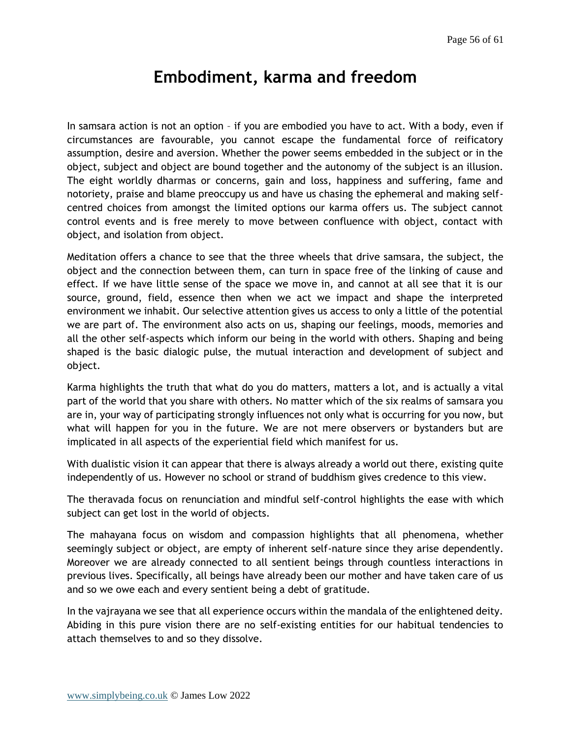## **Embodiment, karma and freedom**

<span id="page-55-0"></span>In samsara action is not an option – if you are embodied you have to act. With a body, even if circumstances are favourable, you cannot escape the fundamental force of reificatory assumption, desire and aversion. Whether the power seems embedded in the subject or in the object, subject and object are bound together and the autonomy of the subject is an illusion. The eight worldly dharmas or concerns, gain and loss, happiness and suffering, fame and notoriety, praise and blame preoccupy us and have us chasing the ephemeral and making selfcentred choices from amongst the limited options our karma offers us. The subject cannot control events and is free merely to move between confluence with object, contact with object, and isolation from object.

Meditation offers a chance to see that the three wheels that drive samsara, the subject, the object and the connection between them, can turn in space free of the linking of cause and effect. If we have little sense of the space we move in, and cannot at all see that it is our source, ground, field, essence then when we act we impact and shape the interpreted environment we inhabit. Our selective attention gives us access to only a little of the potential we are part of. The environment also acts on us, shaping our feelings, moods, memories and all the other self-aspects which inform our being in the world with others. Shaping and being shaped is the basic dialogic pulse, the mutual interaction and development of subject and object.

Karma highlights the truth that what do you do matters, matters a lot, and is actually a vital part of the world that you share with others. No matter which of the six realms of samsara you are in, your way of participating strongly influences not only what is occurring for you now, but what will happen for you in the future. We are not mere observers or bystanders but are implicated in all aspects of the experiential field which manifest for us.

With dualistic vision it can appear that there is always already a world out there, existing quite independently of us. However no school or strand of buddhism gives credence to this view.

The theravada focus on renunciation and mindful self-control highlights the ease with which subject can get lost in the world of objects.

The mahayana focus on wisdom and compassion highlights that all phenomena, whether seemingly subject or object, are empty of inherent self-nature since they arise dependently. Moreover we are already connected to all sentient beings through countless interactions in previous lives. Specifically, all beings have already been our mother and have taken care of us and so we owe each and every sentient being a debt of gratitude.

In the vajrayana we see that all experience occurs within the mandala of the enlightened deity. Abiding in this pure vision there are no self-existing entities for our habitual tendencies to attach themselves to and so they dissolve.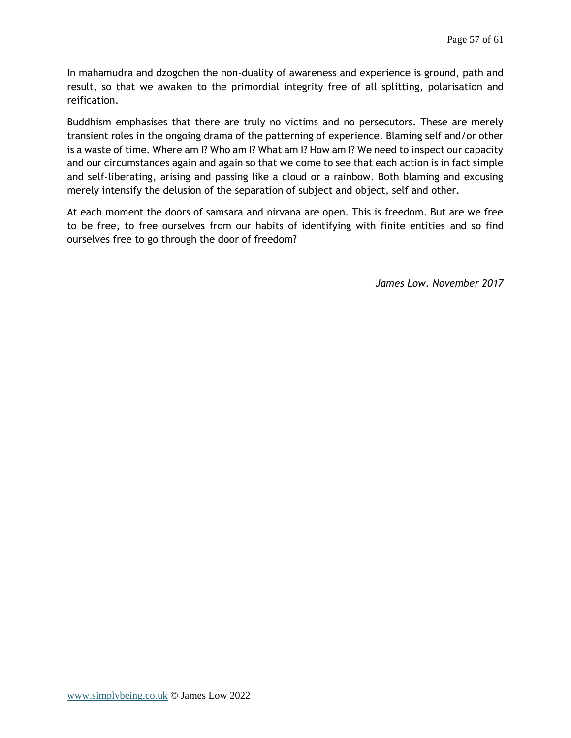In mahamudra and dzogchen the non-duality of awareness and experience is ground, path and result, so that we awaken to the primordial integrity free of all splitting, polarisation and reification.

Buddhism emphasises that there are truly no victims and no persecutors. These are merely transient roles in the ongoing drama of the patterning of experience. Blaming self and/or other is a waste of time. Where am I? Who am I? What am I? How am I? We need to inspect our capacity and our circumstances again and again so that we come to see that each action is in fact simple and self-liberating, arising and passing like a cloud or a rainbow. Both blaming and excusing merely intensify the delusion of the separation of subject and object, self and other.

At each moment the doors of samsara and nirvana are open. This is freedom. But are we free to be free, to free ourselves from our habits of identifying with finite entities and so find ourselves free to go through the door of freedom?

*James Low. November 2017*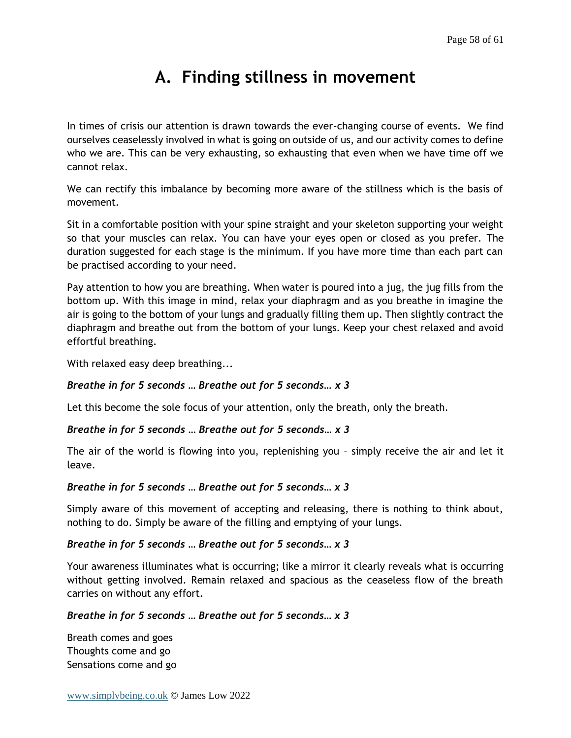# **A. Finding stillness in movement**

<span id="page-57-0"></span>In times of crisis our attention is drawn towards the ever-changing course of events. We find ourselves ceaselessly involved in what is going on outside of us, and our activity comes to define who we are. This can be very exhausting, so exhausting that even when we have time off we cannot relax.

We can rectify this imbalance by becoming more aware of the stillness which is the basis of movement.

Sit in a comfortable position with your spine straight and your skeleton supporting your weight so that your muscles can relax. You can have your eyes open or closed as you prefer. The duration suggested for each stage is the minimum. If you have more time than each part can be practised according to your need.

Pay attention to how you are breathing. When water is poured into a jug, the jug fills from the bottom up. With this image in mind, relax your diaphragm and as you breathe in imagine the air is going to the bottom of your lungs and gradually filling them up. Then slightly contract the diaphragm and breathe out from the bottom of your lungs. Keep your chest relaxed and avoid effortful breathing.

With relaxed easy deep breathing...

#### *Breathe in for 5 seconds … Breathe out for 5 seconds… x 3*

Let this become the sole focus of your attention, only the breath, only the breath.

#### *Breathe in for 5 seconds … Breathe out for 5 seconds… x 3*

The air of the world is flowing into you, replenishing you – simply receive the air and let it leave.

#### *Breathe in for 5 seconds … Breathe out for 5 seconds… x 3*

Simply aware of this movement of accepting and releasing, there is nothing to think about, nothing to do. Simply be aware of the filling and emptying of your lungs.

#### *Breathe in for 5 seconds … Breathe out for 5 seconds… x 3*

Your awareness illuminates what is occurring; like a mirror it clearly reveals what is occurring without getting involved. Remain relaxed and spacious as the ceaseless flow of the breath carries on without any effort.

#### *Breathe in for 5 seconds … Breathe out for 5 seconds… x 3*

Breath comes and goes Thoughts come and go Sensations come and go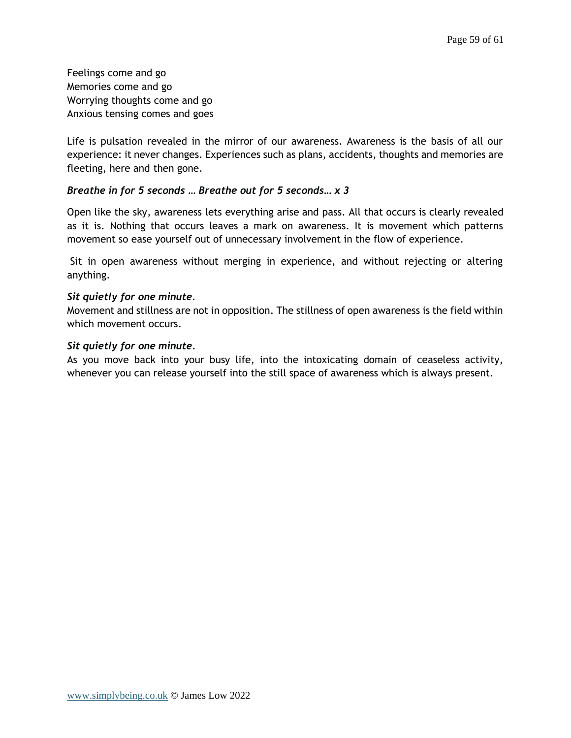Feelings come and go Memories come and go Worrying thoughts come and go Anxious tensing comes and goes

Life is pulsation revealed in the mirror of our awareness. Awareness is the basis of all our experience: it never changes. Experiences such as plans, accidents, thoughts and memories are fleeting, here and then gone.

#### *Breathe in for 5 seconds … Breathe out for 5 seconds… x 3*

Open like the sky, awareness lets everything arise and pass. All that occurs is clearly revealed as it is. Nothing that occurs leaves a mark on awareness. It is movement which patterns movement so ease yourself out of unnecessary involvement in the flow of experience.

Sit in open awareness without merging in experience, and without rejecting or altering anything.

#### *Sit quietly for one minute.*

Movement and stillness are not in opposition. The stillness of open awareness is the field within which movement occurs.

#### *Sit quietly for one minute.*

As you move back into your busy life, into the intoxicating domain of ceaseless activity, whenever you can release yourself into the still space of awareness which is always present.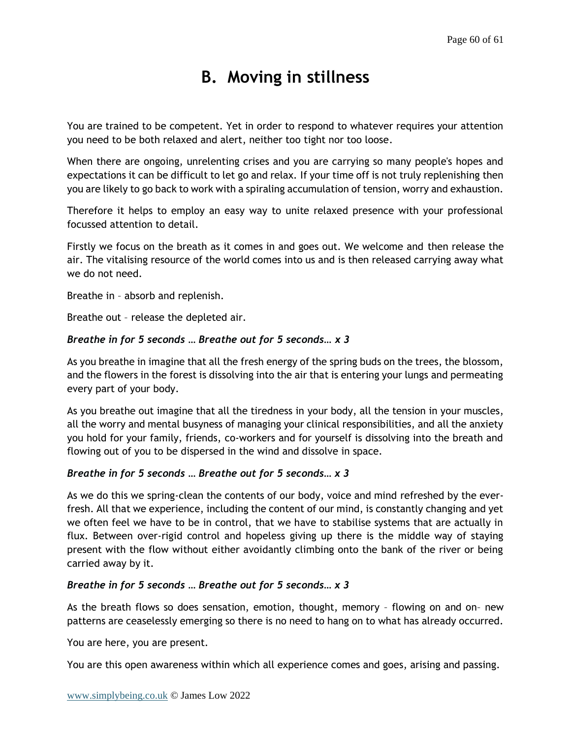# **B. Moving in stillness**

<span id="page-59-0"></span>You are trained to be competent. Yet in order to respond to whatever requires your attention you need to be both relaxed and alert, neither too tight nor too loose.

When there are ongoing, unrelenting crises and you are carrying so many people's hopes and expectations it can be difficult to let go and relax. If your time off is not truly replenishing then you are likely to go back to work with a spiraling accumulation of tension, worry and exhaustion.

Therefore it helps to employ an easy way to unite relaxed presence with your professional focussed attention to detail.

Firstly we focus on the breath as it comes in and goes out. We welcome and then release the air. The vitalising resource of the world comes into us and is then released carrying away what we do not need.

Breathe in – absorb and replenish.

Breathe out – release the depleted air.

#### *Breathe in for 5 seconds … Breathe out for 5 seconds… x 3*

As you breathe in imagine that all the fresh energy of the spring buds on the trees, the blossom, and the flowers in the forest is dissolving into the air that is entering your lungs and permeating every part of your body.

As you breathe out imagine that all the tiredness in your body, all the tension in your muscles, all the worry and mental busyness of managing your clinical responsibilities, and all the anxiety you hold for your family, friends, co-workers and for yourself is dissolving into the breath and flowing out of you to be dispersed in the wind and dissolve in space.

#### *Breathe in for 5 seconds … Breathe out for 5 seconds… x 3*

As we do this we spring-clean the contents of our body, voice and mind refreshed by the everfresh. All that we experience, including the content of our mind, is constantly changing and yet we often feel we have to be in control, that we have to stabilise systems that are actually in flux. Between over-rigid control and hopeless giving up there is the middle way of staying present with the flow without either avoidantly climbing onto the bank of the river or being carried away by it.

#### *Breathe in for 5 seconds … Breathe out for 5 seconds… x 3*

As the breath flows so does sensation, emotion, thought, memory – flowing on and on– new patterns are ceaselessly emerging so there is no need to hang on to what has already occurred.

You are here, you are present.

You are this open awareness within which all experience comes and goes, arising and passing.